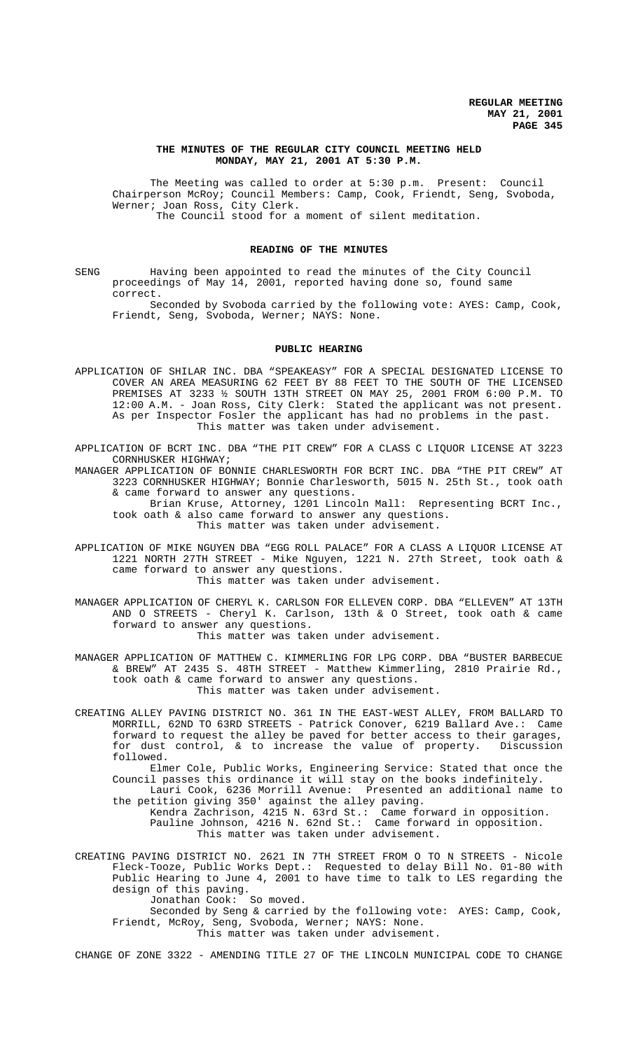# **THE MINUTES OF THE REGULAR CITY COUNCIL MEETING HELD MONDAY, MAY 21, 2001 AT 5:30 P.M.**

The Meeting was called to order at 5:30 p.m. Present: Council Chairperson McRoy; Council Members: Camp, Cook, Friendt, Seng, Svoboda, Werner; Joan Ross, City Clerk. The Council stood for a moment of silent meditation.

# **READING OF THE MINUTES**

SENG Having been appointed to read the minutes of the City Council proceedings of May 14, 2001, reported having done so, found same correct.

Seconded by Svoboda carried by the following vote: AYES: Camp, Cook, Friendt, Seng, Svoboda, Werner; NAYS: None.

#### **PUBLIC HEARING**

APPLICATION OF SHILAR INC. DBA "SPEAKEASY" FOR A SPECIAL DESIGNATED LICENSE TO COVER AN AREA MEASURING 62 FEET BY 88 FEET TO THE SOUTH OF THE LICENSED PREMISES AT 3233 ½ SOUTH 13TH STREET ON MAY 25, 2001 FROM 6:00 P.M. TO 12:00 A.M. - Joan Ross, City Clerk: Stated the applicant was not present. As per Inspector Fosler the applicant has had no problems in the past. This matter was taken under advisement.

APPLICATION OF BCRT INC. DBA "THE PIT CREW" FOR A CLASS C LIQUOR LICENSE AT 3223 CORNHUSKER HIGHWAY;

MANAGER APPLICATION OF BONNIE CHARLESWORTH FOR BCRT INC. DBA "THE PIT CREW" AT 3223 CORNHUSKER HIGHWAY; Bonnie Charlesworth, 5015 N. 25th St., took oath & came forward to answer any questions.

 Brian Kruse, Attorney, 1201 Lincoln Mall: Representing BCRT Inc., took oath & also came forward to answer any questions. This matter was taken under advisement.

APPLICATION OF MIKE NGUYEN DBA "EGG ROLL PALACE" FOR A CLASS A LIQUOR LICENSE AT 1221 NORTH 27TH STREET - Mike Nguyen, 1221 N. 27th Street, took oath & came forward to answer any questions.

This matter was taken under advisement.

MANAGER APPLICATION OF CHERYL K. CARLSON FOR ELLEVEN CORP. DBA "ELLEVEN" AT 13TH AND O STREETS - Cheryl K. Carlson, 13th & O Street, took oath & came forward to answer any questions. This matter was taken under advisement.

MANAGER APPLICATION OF MATTHEW C. KIMMERLING FOR LPG CORP. DBA "BUSTER BARBECUE & BREW" AT 2435 S. 48TH STREET - Matthew Kimmerling, 2810 Prairie Rd., took oath & came forward to answer any questions. This matter was taken under advisement.

CREATING ALLEY PAVING DISTRICT NO. 361 IN THE EAST-WEST ALLEY, FROM BALLARD TO MORRILL, 62ND TO 63RD STREETS - Patrick Conover, 6219 Ballard Ave.: Came forward to request the alley be paved for better access to their garages, for dust control, & to increase the value of property. Discussion followed.

Elmer Cole, Public Works, Engineering Service: Stated that once the Council passes this ordinance it will stay on the books indefinitely.

Lauri Cook, 6236 Morrill Avenue: Presented an additional name to the petition giving 350' against the alley paving. Kendra Zachrison, 4215 N. 63rd St.: Came forward in opposition.

Pauline Johnson, 4216 N. 62nd St.: Came forward in opposition. This matter was taken under advisement.

CREATING PAVING DISTRICT NO. 2621 IN 7TH STREET FROM O TO N STREETS - Nicole Fleck-Tooze, Public Works Dept.: Requested to delay Bill No. 01-80 with Public Hearing to June 4, 2001 to have time to talk to LES regarding the design of this paving.

Jonathan Cook: So moved.

Seconded by Seng & carried by the following vote: AYES: Camp, Cook, Friendt, McRoy, Seng, Svoboda, Werner; NAYS: None.

This matter was taken under advisement.

CHANGE OF ZONE 3322 - AMENDING TITLE 27 OF THE LINCOLN MUNICIPAL CODE TO CHANGE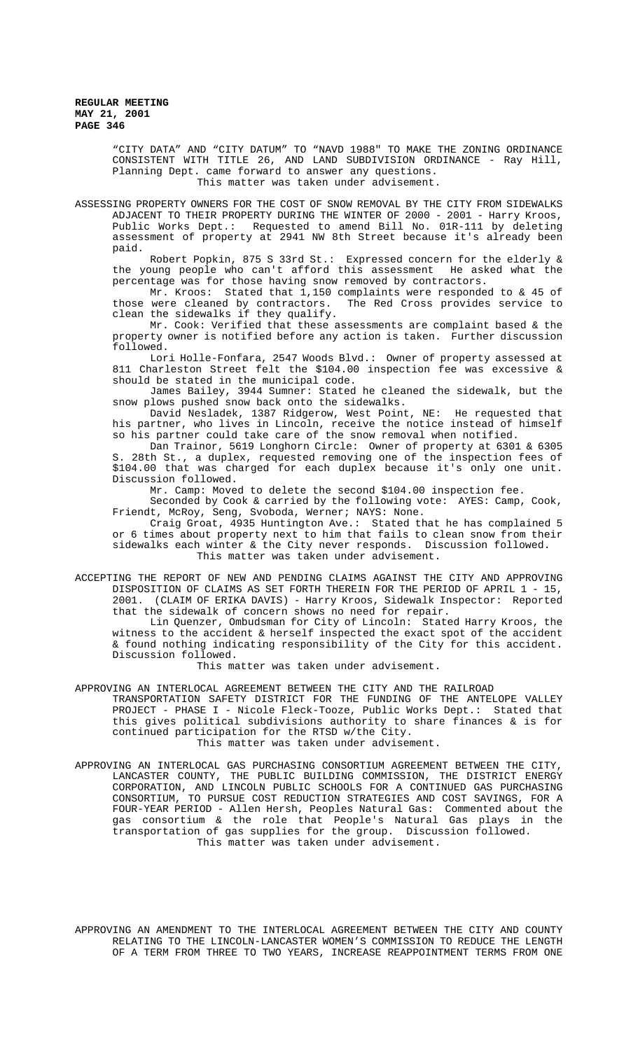"CITY DATA" AND "CITY DATUM" TO "NAVD 1988" TO MAKE THE ZONING ORDINANCE CONSISTENT WITH TITLE 26, AND LAND SUBDIVISION ORDINANCE - Ray Hill, Planning Dept. came forward to answer any questions. This matter was taken under advisement.

ASSESSING PROPERTY OWNERS FOR THE COST OF SNOW REMOVAL BY THE CITY FROM SIDEWALKS ADJACENT TO THEIR PROPERTY DURING THE WINTER OF 2000 - 2001 - Harry Kroos, Public Works Dept.: Requested to amend Bill No. 01R-111 by deleting assessment of property at 2941 NW 8th Street because it's already been paid.

Robert Popkin, 875 S 33rd St.: Expressed concern for the elderly & the young people who can't afford this assessment He asked what the percentage was for those having snow removed by contractors.

Mr. Kroos: Stated that 1,150 complaints were responded to & 45 of those were cleaned by contractors. The Red Cross provides service to clean the sidewalks if they qualify.

Mr. Cook: Verified that these assessments are complaint based & the property owner is notified before any action is taken. Further discussion followed.

Lori Holle-Fonfara, 2547 Woods Blvd.: Owner of property assessed at 811 Charleston Street felt the \$104.00 inspection fee was excessive & should be stated in the municipal code.

James Bailey, 3944 Sumner: Stated he cleaned the sidewalk, but the snow plows pushed snow back onto the sidewalks.

David Nesladek, 1387 Ridgerow, West Point, NE: He requested that his partner, who lives in Lincoln, receive the notice instead of himself so his partner could take care of the snow removal when notified.

Dan Trainor, 5619 Longhorn Circle: Owner of property at 6301 & 6305 S. 28th St., a duplex, requested removing one of the inspection fees of \$104.00 that was charged for each duplex because it's only one unit. Discussion followed.

Mr. Camp: Moved to delete the second \$104.00 inspection fee.

Seconded by Cook & carried by the following vote: AYES: Camp, Cook, Friendt, McRoy, Seng, Svoboda, Werner; NAYS: None.

Craig Groat, 4935 Huntington Ave.: Stated that he has complained 5 or 6 times about property next to him that fails to clean snow from their sidewalks each winter & the City never responds. Discussion followed. This matter was taken under advisement.

ACCEPTING THE REPORT OF NEW AND PENDING CLAIMS AGAINST THE CITY AND APPROVING DISPOSITION OF CLAIMS AS SET FORTH THEREIN FOR THE PERIOD OF APRIL 1 - 15, 2001. (CLAIM OF ERIKA DAVIS) - Harry Kroos, Sidewalk Inspector: Reported that the sidewalk of concern shows no need for repair.

Lin Quenzer, Ombudsman for City of Lincoln: Stated Harry Kroos, the witness to the accident & herself inspected the exact spot of the accident & found nothing indicating responsibility of the City for this accident. Discussion followed.

This matter was taken under advisement.

APPROVING AN INTERLOCAL AGREEMENT BETWEEN THE CITY AND THE RAILROAD

TRANSPORTATION SAFETY DISTRICT FOR THE FUNDING OF THE ANTELOPE VALLEY PROJECT - PHASE I - Nicole Fleck-Tooze, Public Works Dept.: Stated that this gives political subdivisions authority to share finances & is for continued participation for the RTSD w/the City.

This matter was taken under advisement.

APPROVING AN INTERLOCAL GAS PURCHASING CONSORTIUM AGREEMENT BETWEEN THE CITY, LANCASTER COUNTY, THE PUBLIC BUILDING COMMISSION, THE DISTRICT ENERGY CORPORATION, AND LINCOLN PUBLIC SCHOOLS FOR A CONTINUED GAS PURCHASING CONSORTIUM, TO PURSUE COST REDUCTION STRATEGIES AND COST SAVINGS, FOR A FOUR-YEAR PERIOD - Allen Hersh, Peoples Natural Gas: Commented about the gas consortium & the role that People's Natural Gas plays in the transportation of gas supplies for the group. Discussion followed. This matter was taken under advisement.

APPROVING AN AMENDMENT TO THE INTERLOCAL AGREEMENT BETWEEN THE CITY AND COUNTY RELATING TO THE LINCOLN-LANCASTER WOMEN'S COMMISSION TO REDUCE THE LENGTH OF A TERM FROM THREE TO TWO YEARS, INCREASE REAPPOINTMENT TERMS FROM ONE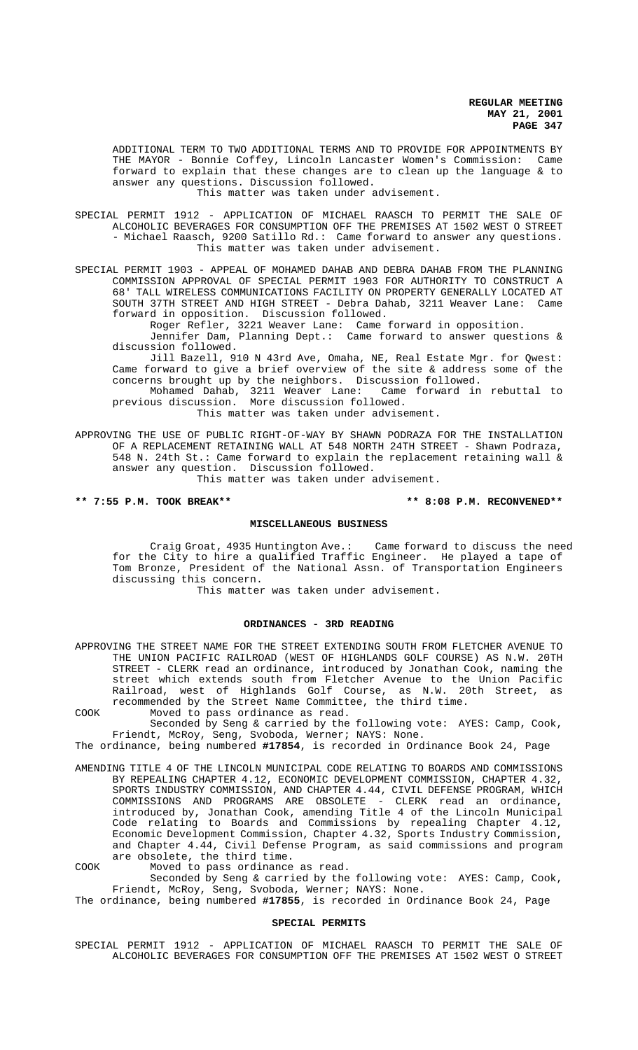ADDITIONAL TERM TO TWO ADDITIONAL TERMS AND TO PROVIDE FOR APPOINTMENTS BY THE MAYOR - Bonnie Coffey, Lincoln Lancaster Women's Commission: Came forward to explain that these changes are to clean up the language & to answer any questions. Discussion followed. This matter was taken under advisement.

SPECIAL PERMIT 1912 - APPLICATION OF MICHAEL RAASCH TO PERMIT THE SALE OF ALCOHOLIC BEVERAGES FOR CONSUMPTION OFF THE PREMISES AT 1502 WEST O STREET - Michael Raasch, 9200 Satillo Rd.: Came forward to answer any questions. This matter was taken under advisement.

SPECIAL PERMIT 1903 - APPEAL OF MOHAMED DAHAB AND DEBRA DAHAB FROM THE PLANNING COMMISSION APPROVAL OF SPECIAL PERMIT 1903 FOR AUTHORITY TO CONSTRUCT A 68' TALL WIRELESS COMMUNICATIONS FACILITY ON PROPERTY GENERALLY LOCATED AT SOUTH 37TH STREET AND HIGH STREET - Debra Dahab, 3211 Weaver Lane: Came forward in opposition. Discussion followed.

Roger Refler, 3221 Weaver Lane: Came forward in opposition.

Jennifer Dam, Planning Dept.: Came forward to answer questions & discussion followed.

Jill Bazell, 910 N 43rd Ave, Omaha, NE, Real Estate Mgr. for Qwest: Came forward to give a brief overview of the site & address some of the concerns brought up by the neighbors. Discussion followed.

Mohamed Dahab, 3211 Weaver Lane: Came forward in rebuttal to previous discussion. More discussion followed.

This matter was taken under advisement.

APPROVING THE USE OF PUBLIC RIGHT-OF-WAY BY SHAWN PODRAZA FOR THE INSTALLATION OF A REPLACEMENT RETAINING WALL AT 548 NORTH 24TH STREET - Shawn Podraza, 548 N. 24th St.: Came forward to explain the replacement retaining wall & answer any question. Discussion followed.

This matter was taken under advisement.

# \*\* 7:55 P.M. TOOK BREAK\*\* \*\* \*\* \*\* 8:08 P.M. RECONVENED\*\*

#### **MISCELLANEOUS BUSINESS**

Craig Groat, 4935 Huntington Ave.: Came forward to discuss the need for the City to hire a qualified Traffic Engineer. He played a tape of Tom Bronze, President of the National Assn. of Transportation Engineers discussing this concern.

This matter was taken under advisement.

#### **ORDINANCES - 3RD READING**

APPROVING THE STREET NAME FOR THE STREET EXTENDING SOUTH FROM FLETCHER AVENUE TO THE UNION PACIFIC RAILROAD (WEST OF HIGHLANDS GOLF COURSE) AS N.W. 20TH STREET - CLERK read an ordinance, introduced by Jonathan Cook, naming the street which extends south from Fletcher Avenue to the Union Pacific Railroad, west of Highlands Golf Course, as N.W. 20th Street, as recommended by the Street Name Committee, the third time.

COOK Moved to pass ordinance as read.

Seconded by Seng & carried by the following vote: AYES: Camp, Cook, Friendt, McRoy, Seng, Svoboda, Werner; NAYS: None.

The ordinance, being numbered **#17854**, is recorded in Ordinance Book 24, Page

AMENDING TITLE 4 OF THE LINCOLN MUNICIPAL CODE RELATING TO BOARDS AND COMMISSIONS BY REPEALING CHAPTER 4.12, ECONOMIC DEVELOPMENT COMMISSION, CHAPTER 4.32, SPORTS INDUSTRY COMMISSION, AND CHAPTER 4.44, CIVIL DEFENSE PROGRAM, WHICH COMMISSIONS AND PROGRAMS ARE OBSOLETE - CLERK read an ordinance, introduced by, Jonathan Cook, amending Title 4 of the Lincoln Municipal Code relating to Boards and Commissions by repealing Chapter 4.12, Economic Development Commission, Chapter 4.32, Sports Industry Commission, and Chapter 4.44, Civil Defense Program, as said commissions and program are obsolete, the third time.

COOK Moved to pass ordinance as read.

Seconded by Seng & carried by the following vote: AYES: Camp, Cook, Friendt, McRoy, Seng, Svoboda, Werner; NAYS: None.

The ordinance, being numbered **#17855**, is recorded in Ordinance Book 24, Page

# **SPECIAL PERMITS**

SPECIAL PERMIT 1912 - APPLICATION OF MICHAEL RAASCH TO PERMIT THE SALE OF ALCOHOLIC BEVERAGES FOR CONSUMPTION OFF THE PREMISES AT 1502 WEST O STREET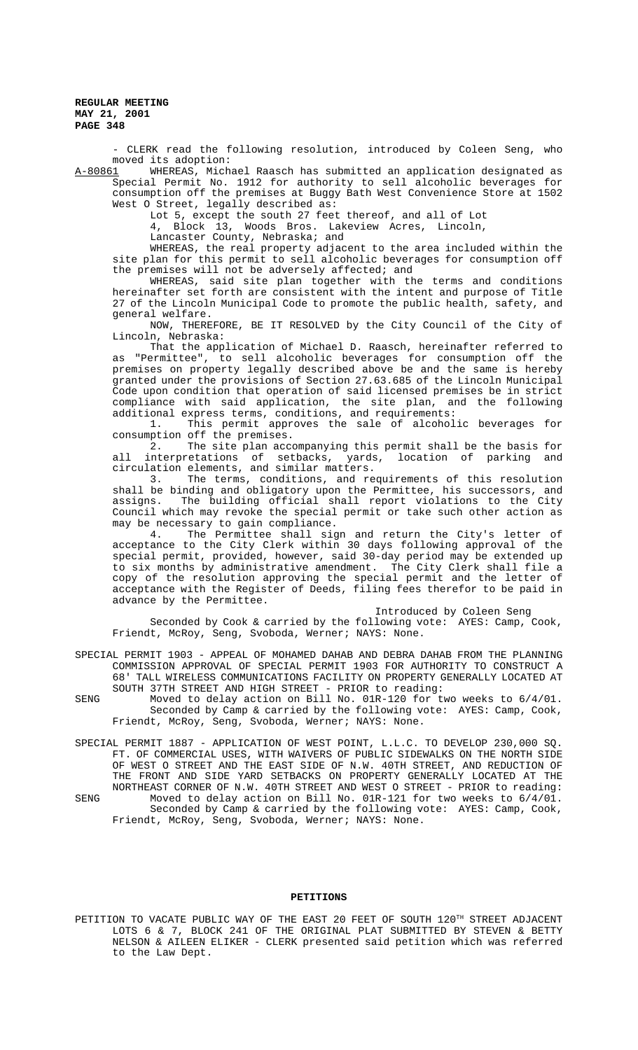- CLERK read the following resolution, introduced by Coleen Seng, who moved its adoption:<br>A-80861 WHEREAS, Mich

WHEREAS, Michael Raasch has submitted an application designated as Special Permit No. 1912 for authority to sell alcoholic beverages for consumption off the premises at Buggy Bath West Convenience Store at 1502 West O Street, legally described as:

Lot 5, except the south 27 feet thereof, and all of Lot

4, Block 13, Woods Bros. Lakeview Acres, Lincoln,

Lancaster County, Nebraska; and

WHEREAS, the real property adjacent to the area included within the site plan for this permit to sell alcoholic beverages for consumption off the premises will not be adversely affected; and

WHEREAS, said site plan together with the terms and conditions hereinafter set forth are consistent with the intent and purpose of Title 27 of the Lincoln Municipal Code to promote the public health, safety, and general welfare.

NOW, THEREFORE, BE IT RESOLVED by the City Council of the City of Lincoln, Nebraska:

That the application of Michael D. Raasch, hereinafter referred to as "Permittee", to sell alcoholic beverages for consumption off the premises on property legally described above be and the same is hereby granted under the provisions of Section 27.63.685 of the Lincoln Municipal Code upon condition that operation of said licensed premises be in strict compliance with said application, the site plan, and the following additional express terms, conditions, and requirements:

1. This permit approves the sale of alcoholic beverages for consumption off the premises.<br>2. The site plan acco

The site plan accompanying this permit shall be the basis for all interpretations of setbacks, yards, location of parking and circulation elements, and similar matters.

3. The terms, conditions, and requirements of this resolution shall be binding and obligatory upon the Permittee, his successors, and assigns. The building official shall report violations to the City Council which may revoke the special permit or take such other action as may be necessary to gain compliance.<br>4. The Permittee shall sig

The Permittee shall sign and return the City's letter of acceptance to the City Clerk within 30 days following approval of the special permit, provided, however, said 30-day period may be extended up to six months by administrative amendment. The City Clerk shall file a copy of the resolution approving the special permit and the letter of acceptance with the Register of Deeds, filing fees therefor to be paid in advance by the Permittee.

# Introduced by Coleen Seng

Seconded by Cook & carried by the following vote: AYES: Camp, Cook, Friendt, McRoy, Seng, Svoboda, Werner; NAYS: None.

SPECIAL PERMIT 1903 - APPEAL OF MOHAMED DAHAB AND DEBRA DAHAB FROM THE PLANNING COMMISSION APPROVAL OF SPECIAL PERMIT 1903 FOR AUTHORITY TO CONSTRUCT A 68' TALL WIRELESS COMMUNICATIONS FACILITY ON PROPERTY GENERALLY LOCATED AT SOUTH 37TH STREET AND HIGH STREET - PRIOR to reading:

- SENG Moved to delay action on Bill No. 01R-120 for two weeks to 6/4/01. Seconded by Camp & carried by the following vote: AYES: Camp, Cook, Friendt, McRoy, Seng, Svoboda, Werner; NAYS: None.
- SPECIAL PERMIT 1887 APPLICATION OF WEST POINT, L.L.C. TO DEVELOP 230,000 SQ. FT. OF COMMERCIAL USES, WITH WAIVERS OF PUBLIC SIDEWALKS ON THE NORTH SIDE OF WEST O STREET AND THE EAST SIDE OF N.W. 40TH STREET, AND REDUCTION OF THE FRONT AND SIDE YARD SETBACKS ON PROPERTY GENERALLY LOCATED AT THE NORTHEAST CORNER OF N.W. 40TH STREET AND WEST O STREET - PRIOR to reading: SENG Moved to delay action on Bill No. 01R-121 for two weeks to 6/4/01. Seconded by Camp & carried by the following vote: AYES: Camp, Cook, Friendt, McRoy, Seng, Svoboda, Werner; NAYS: None.

#### **PETITIONS**

PETITION TO VACATE PUBLIC WAY OF THE EAST 20 FEET OF SOUTH 120TH STREET ADJACENT LOTS 6 & 7, BLOCK 241 OF THE ORIGINAL PLAT SUBMITTED BY STEVEN & BETTY NELSON & AILEEN ELIKER - CLERK presented said petition which was referred to the Law Dept.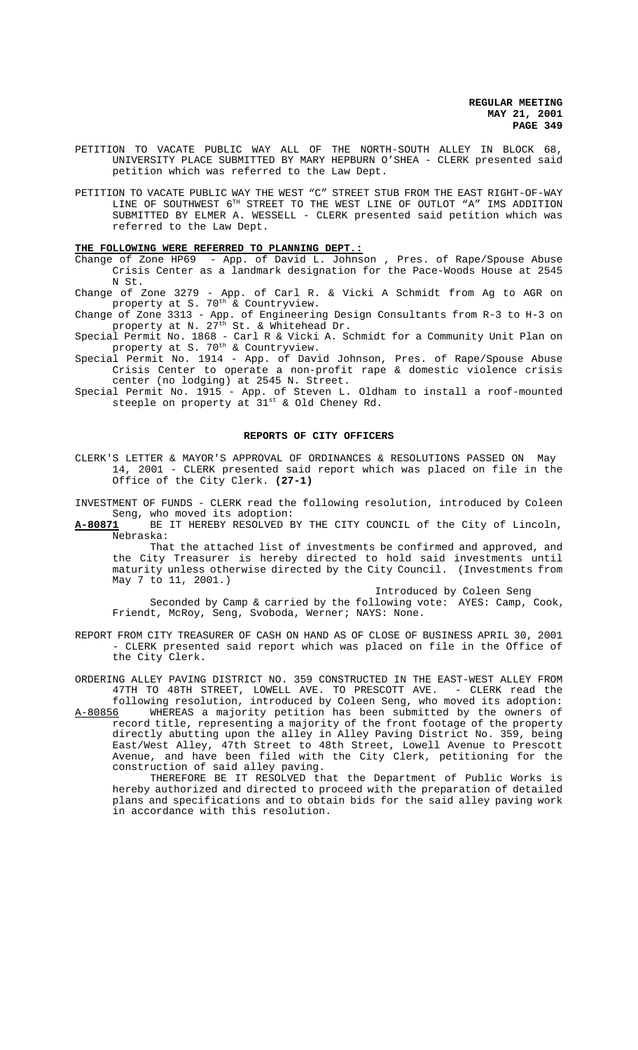- PETITION TO VACATE PUBLIC WAY ALL OF THE NORTH-SOUTH ALLEY IN BLOCK 68, UNIVERSITY PLACE SUBMITTED BY MARY HEPBURN O'SHEA - CLERK presented said petition which was referred to the Law Dept.
- PETITION TO VACATE PUBLIC WAY THE WEST "C" STREET STUB FROM THE EAST RIGHT-OF-WAY LINE OF SOUTHWEST 6<sup>TH</sup> STREET TO THE WEST LINE OF OUTLOT "A" IMS ADDITION SUBMITTED BY ELMER A. WESSELL - CLERK presented said petition which was referred to the Law Dept.

#### **THE FOLLOWING WERE REFERRED TO PLANNING DEPT.:**

Change of Zone HP69 - App. of David L. Johnson , Pres. of Rape/Spouse Abuse Crisis Center as a landmark designation for the Pace-Woods House at 2545 N St.

Change of Zone 3279 - App. of Carl R. & Vicki A Schmidt from Ag to AGR on property at S. 70<sup>th</sup> & Countryview.

Change of Zone 3313 - App. of Engineering Design Consultants from R-3 to H-3 on property at N. 27<sup>th</sup> St. & Whitehead Dr.

Special Permit No. 1868 - Carl R & Vicki A. Schmidt for a Community Unit Plan on property at S. 70<sup>th</sup> & Countryview.

Special Permit No. 1914 - App. of David Johnson, Pres. of Rape/Spouse Abuse Crisis Center to operate a non-profit rape & domestic violence crisis center (no lodging) at 2545 N. Street.

Special Permit No. 1915 - App. of Steven L. Oldham to install a roof-mounted steeple on property at  $31^{st}$  & Old Cheney Rd.

#### **REPORTS OF CITY OFFICERS**

CLERK'S LETTER & MAYOR'S APPROVAL OF ORDINANCES & RESOLUTIONS PASSED ON May 14, 2001 - CLERK presented said report which was placed on file in the Office of the City Clerk. **(27-1)**

INVESTMENT OF FUNDS - CLERK read the following resolution, introduced by Coleen Seng, who moved its adoption:<br>**A-80871** BE IT HEREBY RESOLVED E

BE IT HEREBY RESOLVED BY THE CITY COUNCIL of the City of Lincoln, Nebraska:

That the attached list of investments be confirmed and approved, and the City Treasurer is hereby directed to hold said investments until maturity unless otherwise directed by the City Council. (Investments from May 7 to 11, 2001.)

Introduced by Coleen Seng

 Seconded by Camp & carried by the following vote: AYES: Camp, Cook, Friendt, McRoy, Seng, Svoboda, Werner; NAYS: None.

REPORT FROM CITY TREASURER OF CASH ON HAND AS OF CLOSE OF BUSINESS APRIL 30, 2001 - CLERK presented said report which was placed on file in the Office of the City Clerk.

ORDERING ALLEY PAVING DISTRICT NO. 359 CONSTRUCTED IN THE EAST-WEST ALLEY FROM 47TH TO 48TH STREET, LOWELL AVE. TO PRESCOTT AVE. - CLERK read the

following resolution, introduced by Coleen Seng, who moved its adoption: A-80856 WHEREAS a majority petition has been submitted by the owners of record title, representing a majority of the front footage of the property directly abutting upon the alley in Alley Paving District No. 359, being East/West Alley, 47th Street to 48th Street, Lowell Avenue to Prescott Avenue, and have been filed with the City Clerk, petitioning for the construction of said alley paving.

THEREFORE BE IT RESOLVED that the Department of Public Works is hereby authorized and directed to proceed with the preparation of detailed plans and specifications and to obtain bids for the said alley paving work in accordance with this resolution.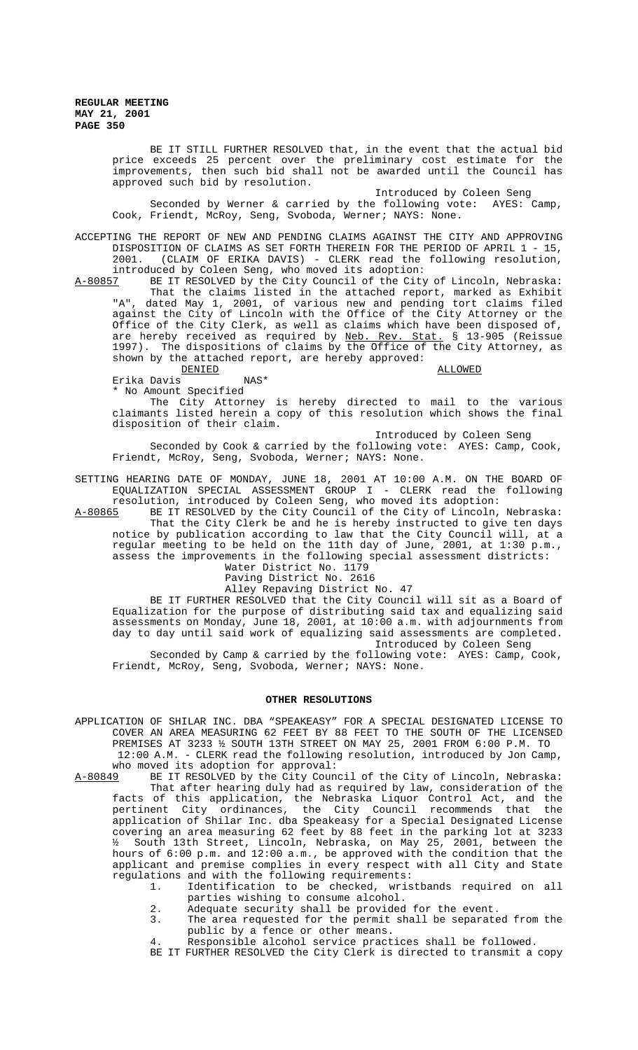> BE IT STILL FURTHER RESOLVED that, in the event that the actual bid price exceeds 25 percent over the preliminary cost estimate for the improvements, then such bid shall not be awarded until the Council has approved such bid by resolution.

> Introduced by Coleen Seng Seconded by Werner & carried by the following vote: AYES: Camp, Cook, Friendt, McRoy, Seng, Svoboda, Werner; NAYS: None.

ACCEPTING THE REPORT OF NEW AND PENDING CLAIMS AGAINST THE CITY AND APPROVING DISPOSITION OF CLAIMS AS SET FORTH THEREIN FOR THE PERIOD OF APRIL 1 - 15,<br>2001. (CLAIM OF ERIKA DAVIS) - CLERK read the following resolution. (CLAIM OF ERIKA DAVIS) - CLERK read the following resolution,

introduced by Coleen Seng, who moved its adoption:<br>A-80857 BE IT RESOLVED by the City Council of the City A-80857 BE IT RESOLVED by the City Council of the City of Lincoln, Nebraska: That the claims listed in the attached report, marked as Exhibit "A", dated May 1, 2001, of various new and pending tort claims filed against the City of Lincoln with the Office of the City Attorney or the Office of the City Clerk, as well as claims which have been disposed of, are hereby received as required by <u>Neb. Rev. Stat.</u> § 13-905 (Reissue 1997). The dispositions of claims by the Office of the City Attorney, as shown by the attached report, are hereby approved:

 $\begin{array}{ll}\text{\underline{D}} \text{\underline{L}} \text{\underline{L}} \text{\underline{L}} \text{\underline{D}} \text{\underline{L}} \text{\underline{L}} \text{\underline{D}} \text{\underline{L}} \text{\underline{L}} \text{\underline{L}} \text{\underline{L}} \text{\underline{L}} \text{\underline{L}} \text{\underline{L}} \text{\underline{L}} \text{\underline{L}} \text{\underline{L}} \text{\underline{L}} \text{\underline{L}} \text{\underline{L}} \text{\underline{L}} \text{\underline{L}} \text{\underline{L}} \text{\underline{L}} \text{\underline{L}} \text{\underline{L}} \text{\underline{L}} \text{\underline{L}} \text{\underline{L}} \text{\underline{$ Erika Davis

\* No Amount Specified

The City Attorney is hereby directed to mail to the various claimants listed herein a copy of this resolution which shows the final disposition of their claim.

Introduced by Coleen Seng

Seconded by Cook & carried by the following vote: AYES: Camp, Cook, Friendt, McRoy, Seng, Svoboda, Werner; NAYS: None.

SETTING HEARING DATE OF MONDAY, JUNE 18, 2001 AT 10:00 A.M. ON THE BOARD OF EQUALIZATION SPECIAL ASSESSMENT GROUP I - CLERK read the following resolution, introduced by Coleen Seng, who moved its adoption:

A-80865 BE IT RESOLVED by the City Council of the City of Lincoln, Nebraska: That the City Clerk be and he is hereby instructed to give ten days notice by publication according to law that the City Council will, at a regular meeting to be held on the 11th day of June, 2001, at 1:30 p.m., assess the improvements in the following special assessment districts:

Water District No. 1179 Paving District No. 2616

Alley Repaving District No. 47

BE IT FURTHER RESOLVED that the City Council will sit as a Board of Equalization for the purpose of distributing said tax and equalizing said assessments on Monday, June 18, 2001, at 10:00 a.m. with adjournments from day to day until said work of equalizing said assessments are completed. Introduced by Coleen Seng

Seconded by Camp & carried by the following vote: AYES: Camp, Cook, Friendt, McRoy, Seng, Svoboda, Werner; NAYS: None.

### **OTHER RESOLUTIONS**

APPLICATION OF SHILAR INC. DBA "SPEAKEASY" FOR A SPECIAL DESIGNATED LICENSE TO COVER AN AREA MEASURING 62 FEET BY 88 FEET TO THE SOUTH OF THE LICENSED PREMISES AT 3233 ½ SOUTH 13TH STREET ON MAY 25, 2001 FROM 6:00 P.M. TO 12:00 A.M. - CLERK read the following resolution, introduced by Jon Camp,

who moved its adoption for approval:<br>A-80849 BE IT RESOLVED by the City Coun BE IT RESOLVED by the City Council of the City of Lincoln, Nebraska: That after hearing duly had as required by law, consideration of the facts of this application, the Nebraska Liquor Control Act, and the pertinent City ordinances, the City Council recommends that the application of Shilar Inc. dba Speakeasy for a Special Designated License covering an area measuring 62 feet by 88 feet in the parking lot at 3233 ½ South 13th Street, Lincoln, Nebraska, on May 25, 2001, between the hours of 6:00 p.m. and 12:00 a.m., be approved with the condition that the applicant and premise complies in every respect with all City and State regulations and with the following requirements:

1. Identification to be checked, wristbands required on all parties wishing to consume alcohol.

- 2. Adequate security shall be provided for the event.
- 3. The area requested for the permit shall be separated from the public by a fence or other means.
- 4. Responsible alcohol service practices shall be followed.
- BE IT FURTHER RESOLVED the City Clerk is directed to transmit a copy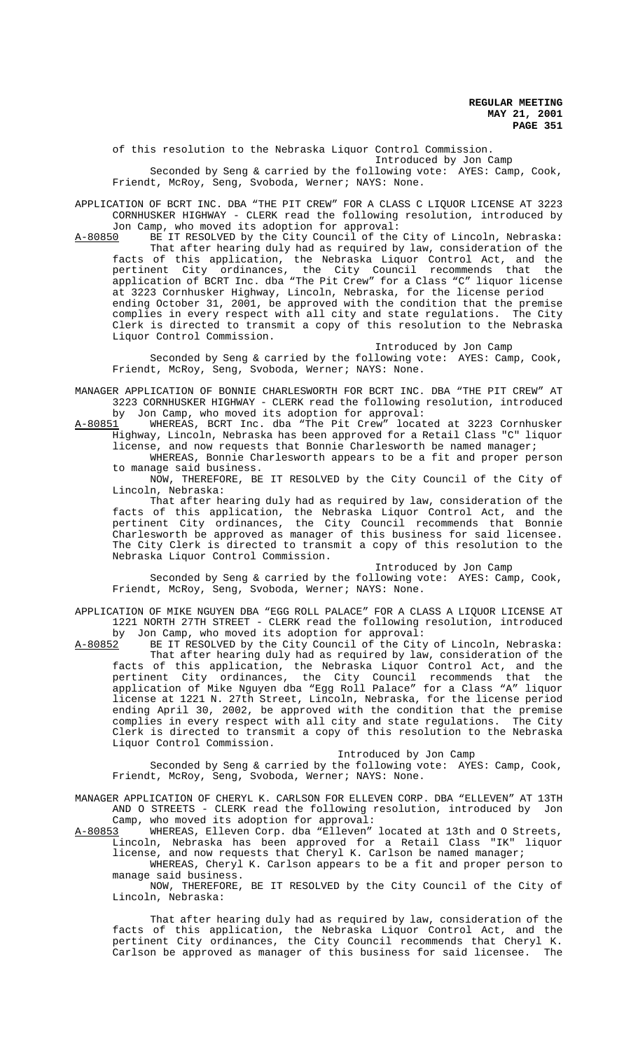of this resolution to the Nebraska Liquor Control Commission.

Introduced by Jon Camp

Seconded by Seng & carried by the following vote: AYES: Camp, Cook, Friendt, McRoy, Seng, Svoboda, Werner; NAYS: None.

APPLICATION OF BCRT INC. DBA "THE PIT CREW" FOR A CLASS C LIQUOR LICENSE AT 3223 CORNHUSKER HIGHWAY - CLERK read the following resolution, introduced by Jon Camp, who moved its adoption for approval:

A-80850 BE IT RESOLVED by the City Council of the City of Lincoln, Nebraska: That after hearing duly had as required by law, consideration of the facts of this application, the Nebraska Liquor Control Act, and the pertinent City ordinances, the City Council recommends that the application of BCRT Inc. dba "The Pit Crew" for a Class "C" liquor license at 3223 Cornhusker Highway, Lincoln, Nebraska, for the license period ending October 31, 2001, be approved with the condition that the premise complies in every respect with all city and state regulations. The City Clerk is directed to transmit a copy of this resolution to the Nebraska Liquor Control Commission.

Introduced by Jon Camp

Seconded by Seng & carried by the following vote: AYES: Camp, Cook, Friendt, McRoy, Seng, Svoboda, Werner; NAYS: None.

MANAGER APPLICATION OF BONNIE CHARLESWORTH FOR BCRT INC. DBA "THE PIT CREW" AT 3223 CORNHUSKER HIGHWAY - CLERK read the following resolution, introduced by Jon Camp, who moved its adoption for approval:

A-80851 MHEREAS, BCRT Inc. dba "The Pit Crew" located at 3223 Cornhusker Highway, Lincoln, Nebraska has been approved for a Retail Class "C" liquor license, and now requests that Bonnie Charlesworth be named manager;

WHEREAS, Bonnie Charlesworth appears to be a fit and proper person to manage said business.

NOW, THEREFORE, BE IT RESOLVED by the City Council of the City of Lincoln, Nebraska:

That after hearing duly had as required by law, consideration of the facts of this application, the Nebraska Liquor Control Act, and the pertinent City ordinances, the City Council recommends that Bonnie Charlesworth be approved as manager of this business for said licensee. The City Clerk is directed to transmit a copy of this resolution to the Nebraska Liquor Control Commission.

Introduced by Jon Camp

Seconded by Seng & carried by the following vote: AYES: Camp, Cook, Friendt, McRoy, Seng, Svoboda, Werner; NAYS: None.

APPLICATION OF MIKE NGUYEN DBA "EGG ROLL PALACE" FOR A CLASS A LIQUOR LICENSE AT 1221 NORTH 27TH STREET - CLERK read the following resolution, introduced

by Jon Camp, who moved its adoption for approval:<br>A-80852 BE IT RESOLVED by the City Council of the City BE IT RESOLVED by the City Council of the City of Lincoln, Nebraska: That after hearing duly had as required by law, consideration of the facts of this application, the Nebraska Liquor Control Act, and the pertinent City ordinances, the City Council recommends that the application of Mike Nguyen dba "Egg Roll Palace" for a Class "A" liquor license at 1221 N. 27th Street, Lincoln, Nebraska, for the license period ending April 30, 2002, be approved with the condition that the premise complies in every respect with all city and state regulations. The City Clerk is directed to transmit a copy of this resolution to the Nebraska Liquor Control Commission.

Introduced by Jon Camp

Seconded by Seng & carried by the following vote: AYES: Camp, Cook, Friendt, McRoy, Seng, Svoboda, Werner; NAYS: None.

MANAGER APPLICATION OF CHERYL K. CARLSON FOR ELLEVEN CORP. DBA "ELLEVEN" AT 13TH AND O STREETS - CLERK read the following resolution, introduced by Jon Camp, who moved its adoption for approval:

A-80853 WHEREAS, Elleven Corp. dba "Elleven" located at 13th and O Streets, Lincoln, Nebraska has been approved for a Retail Class "IK" liquor license, and now requests that Cheryl K. Carlson be named manager;

WHEREAS, Cheryl K. Carlson appears to be a fit and proper person to manage said business.

NOW, THEREFORE, BE IT RESOLVED by the City Council of the City of Lincoln, Nebraska:

That after hearing duly had as required by law, consideration of the facts of this application, the Nebraska Liquor Control Act, and the pertinent City ordinances, the City Council recommends that Cheryl K. Carlson be approved as manager of this business for said licensee. The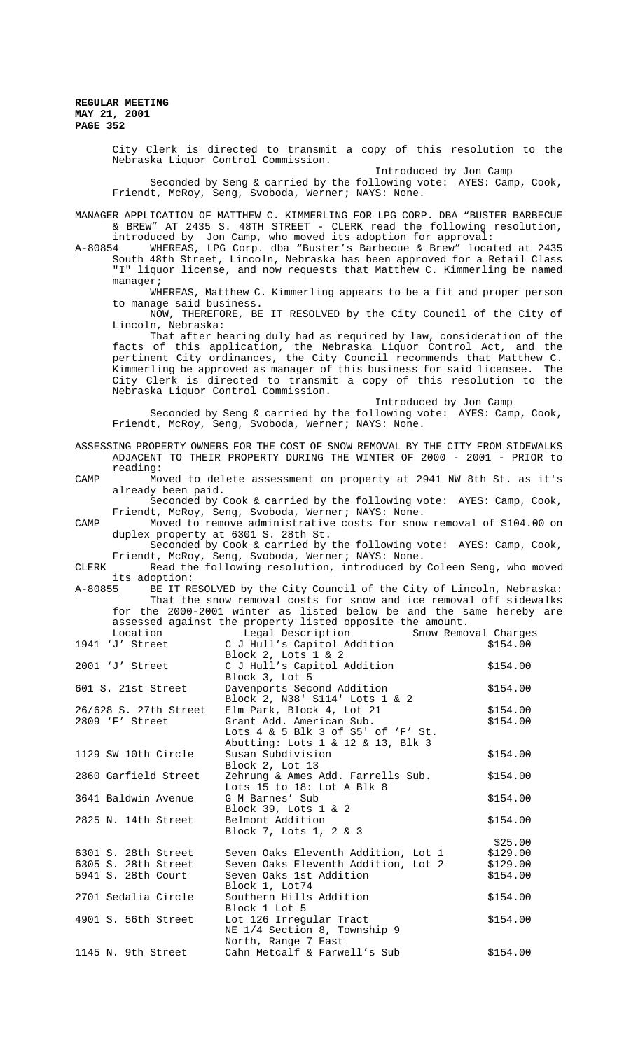> City Clerk is directed to transmit a copy of this resolution to the Nebraska Liquor Control Commission.

> > Introduced by Jon Camp

Seconded by Seng & carried by the following vote: AYES: Camp, Cook, Friendt, McRoy, Seng, Svoboda, Werner; NAYS: None.

MANAGER APPLICATION OF MATTHEW C. KIMMERLING FOR LPG CORP. DBA "BUSTER BARBECUE & BREW" AT 2435 S. 48TH STREET - CLERK read the following resolution, introduced by Jon Camp, who moved its adoption for approval:

A-80854 MHEREAS, LPG Corp. dba "Buster's Barbecue & Brew" located at 2435 South 48th Street, Lincoln, Nebraska has been approved for a Retail Class "I" liquor license, and now requests that Matthew C. Kimmerling be named manager;

WHEREAS, Matthew C. Kimmerling appears to be a fit and proper person to manage said business.

NOW, THEREFORE, BE IT RESOLVED by the City Council of the City of Lincoln, Nebraska:

That after hearing duly had as required by law, consideration of the facts of this application, the Nebraska Liquor Control Act, and the pertinent City ordinances, the City Council recommends that Matthew C. Kimmerling be approved as manager of this business for said licensee. The City Clerk is directed to transmit a copy of this resolution to the Nebraska Liquor Control Commission.

Introduced by Jon Camp

Seconded by Seng & carried by the following vote: AYES: Camp, Cook, Friendt, McRoy, Seng, Svoboda, Werner; NAYS: None.

| ASSESSING PROPERTY OWNERS FOR THE COST OF SNOW REMOVAL BY THE CITY FROM SIDEWALKS |                       |                                                                        |          |  |
|-----------------------------------------------------------------------------------|-----------------------|------------------------------------------------------------------------|----------|--|
|                                                                                   |                       | ADJACENT TO THEIR PROPERTY DURING THE WINTER OF 2000 - 2001 - PRIOR to |          |  |
|                                                                                   | reading:              |                                                                        |          |  |
| CAMP                                                                              |                       | Moved to delete assessment on property at 2941 NW 8th St. as it's      |          |  |
|                                                                                   | already been paid.    |                                                                        |          |  |
|                                                                                   |                       | Seconded by Cook & carried by the following vote: AYES: Camp, Cook,    |          |  |
|                                                                                   |                       | Friendt, McRoy, Seng, Svoboda, Werner; NAYS: None.                     |          |  |
|                                                                                   |                       | Moved to remove administrative costs for snow removal of \$104.00 on   |          |  |
| CAMP                                                                              |                       |                                                                        |          |  |
|                                                                                   |                       | duplex property at 6301 S. 28th St.                                    |          |  |
|                                                                                   |                       | Seconded by Cook & carried by the following vote: AYES: Camp, Cook,    |          |  |
|                                                                                   |                       | Friendt, McRoy, Seng, Svoboda, Werner; NAYS: None.                     |          |  |
| CLERK                                                                             |                       | Read the following resolution, introduced by Coleen Seng, who moved    |          |  |
|                                                                                   | its adoption:         |                                                                        |          |  |
| A-80855                                                                           |                       | BE IT RESOLVED by the City Council of the City of Lincoln, Nebraska:   |          |  |
|                                                                                   |                       | That the snow removal costs for snow and ice removal off sidewalks     |          |  |
|                                                                                   |                       | for the 2000-2001 winter as listed below be and the same hereby are    |          |  |
|                                                                                   |                       | assessed against the property listed opposite the amount.              |          |  |
|                                                                                   | Location              | Legal Description<br>Snow Removal Charges                              |          |  |
|                                                                                   | 1941 'J' Street       | C J Hull's Capitol Addition                                            | \$154.00 |  |
|                                                                                   |                       | Block 2, Lots 1 & 2                                                    |          |  |
|                                                                                   | 2001 'J' Street       | C J Hull's Capitol Addition                                            | \$154.00 |  |
|                                                                                   |                       | Block 3, Lot 5                                                         |          |  |
|                                                                                   | 601 S. 21st Street    | Davenports Second Addition                                             | \$154.00 |  |
|                                                                                   |                       | Block 2, N38' S114' Lots 1 & 2                                         |          |  |
|                                                                                   | 26/628 S. 27th Street | Elm Park, Block 4, Lot 21                                              | \$154.00 |  |
|                                                                                   | 2809 'F' Street       | Grant Add. American Sub.                                               | \$154.00 |  |
|                                                                                   |                       | Lots 4 & 5 Blk 3 of S5' of 'F' St.                                     |          |  |
|                                                                                   |                       |                                                                        |          |  |
|                                                                                   |                       | Abutting: Lots 1 & 12 & 13, Blk 3                                      |          |  |
|                                                                                   | 1129 SW 10th Circle   | Susan Subdivision                                                      | \$154.00 |  |
|                                                                                   |                       | Block 2, Lot 13                                                        |          |  |
|                                                                                   | 2860 Garfield Street  | Zehrung & Ames Add. Farrells Sub.                                      | \$154.00 |  |
|                                                                                   |                       | Lots 15 to 18: Lot A Blk 8                                             |          |  |
|                                                                                   | 3641 Baldwin Avenue   | G M Barnes' Sub                                                        | \$154.00 |  |
|                                                                                   |                       | Block 39, Lots $1 \& 2$                                                |          |  |
|                                                                                   | 2825 N. 14th Street   | Belmont Addition                                                       | \$154.00 |  |
|                                                                                   |                       | Block 7, Lots 1, 2 & 3                                                 |          |  |
|                                                                                   |                       |                                                                        | \$25.00  |  |
|                                                                                   | 6301 S. 28th Street   | Seven Oaks Eleventh Addition, Lot 1                                    | \$129.00 |  |
|                                                                                   | 6305 S. 28th Street   | Seven Oaks Eleventh Addition, Lot 2                                    | \$129.00 |  |
|                                                                                   | 5941 S. 28th Court    | Seven Oaks 1st Addition                                                | \$154.00 |  |
|                                                                                   |                       | Block 1, Lot74                                                         |          |  |
|                                                                                   |                       |                                                                        |          |  |
|                                                                                   | 2701 Sedalia Circle   | Southern Hills Addition                                                | \$154.00 |  |
|                                                                                   |                       | Block 1 Lot 5                                                          |          |  |
|                                                                                   | 4901 S. 56th Street   | Lot 126 Irregular Tract                                                | \$154.00 |  |
|                                                                                   |                       | NE 1/4 Section 8, Township 9                                           |          |  |
|                                                                                   |                       | North, Range 7 East                                                    |          |  |
|                                                                                   | 1145 N. 9th Street    | Cahn Metcalf & Farwell's Sub                                           | \$154.00 |  |
|                                                                                   |                       |                                                                        |          |  |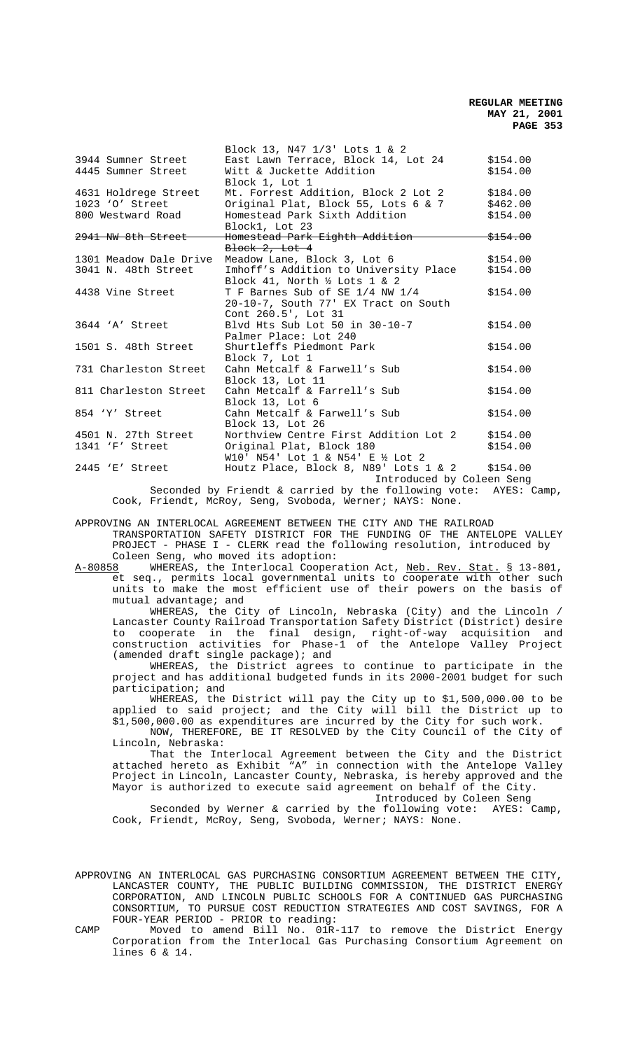|                               | Block 13, N47 1/3' Lots 1 & 2            |                     |
|-------------------------------|------------------------------------------|---------------------|
| 3944 Sumner Street            | East Lawn Terrace, Block 14, Lot 24      | \$154.00            |
| 4445 Sumner Street            | Witt & Juckette Addition                 | \$154.00            |
|                               | Block 1, Lot 1                           |                     |
| 4631 Holdrege Street          | Mt. Forrest Addition, Block 2 Lot 2      | \$184.00            |
| 1023 '0' Street               | Original Plat, Block 55, Lots 6 & 7      | \$462.00            |
| 800 Westward Road             | Homestead Park Sixth Addition            | \$154.00            |
|                               | Block1, Lot 23                           |                     |
| <del>2941 NW 8th Street</del> | Homestead Park Eighth Addition           | <del>\$154.00</del> |
|                               | Block 2, Lot 4                           |                     |
| 1301 Meadow Dale Drive        | Meadow Lane, Block 3, Lot 6              | \$154.00            |
| 3041 N. 48th Street           | Imhoff's Addition to University Place    | \$154.00            |
|                               | Block 41, North $\frac{1}{2}$ Lots 1 & 2 |                     |
| 4438 Vine Street              | T F Barnes Sub of SE 1/4 NW 1/4          | \$154.00            |
|                               | 20-10-7, South 77' EX Tract on South     |                     |
|                               | Cont 260.5', Lot 31                      |                     |
| 3644 'A' Street               | Blyd Hts Sub Lot 50 in 30-10-7           | \$154.00            |
|                               | Palmer Place: Lot 240                    |                     |
| 1501 S. 48th Street           | Shurtleffs Piedmont Park                 | \$154.00            |
|                               | Block 7, Lot 1                           |                     |
| 731 Charleston Street         | Cahn Metcalf & Farwell's Sub             | \$154.00            |
|                               | Block 13, Lot 11                         |                     |
| 811 Charleston Street         | Cahn Metcalf & Farrell's Sub             | \$154.00            |
|                               | Block 13, Lot 6                          |                     |
| 854 'Y' Street                | Cahn Metcalf & Farwell's Sub             | \$154.00            |
|                               | Block 13, Lot 26                         |                     |
| 4501 N. 27th Street           | Northview Centre First Addition Lot 2    | \$154.00            |
| 1341 'F' Street               | Original Plat, Block 180                 | \$154.00            |
|                               | W10' N54' Lot 1 & N54' E ½ Lot 2         |                     |
| 2445 'E' Street               | Houtz Place, Block 8, N89' Lots 1 & 2    | \$154.00            |

Introduced by Coleen Seng

Seconded by Friendt & carried by the following vote: AYES: Camp, Cook, Friendt, McRoy, Seng, Svoboda, Werner; NAYS: None.

APPROVING AN INTERLOCAL AGREEMENT BETWEEN THE CITY AND THE RAILROAD

TRANSPORTATION SAFETY DISTRICT FOR THE FUNDING OF THE ANTELOPE VALLEY PROJECT - PHASE I - CLERK read the following resolution, introduced by

Coleen Seng, who moved its adoption:<br>A-80858 WHEREAS, the Interlocal Cooper A-80858 MHEREAS, the Interlocal Cooperation Act, <u>Neb. Rev. Stat.</u> § 13-801, et seq., permits local governmental units to cooperate with other such units to make the most efficient use of their powers on the basis of mutual advantage; and

WHEREAS, the City of Lincoln, Nebraska (City) and the Lincoln / Lancaster County Railroad Transportation Safety District (District) desire to cooperate in the final design, right-of-way acquisition and construction activities for Phase-1 of the Antelope Valley Project (amended draft single package); and

WHEREAS, the District agrees to continue to participate in the project and has additional budgeted funds in its 2000-2001 budget for such participation; and

WHEREAS, the District will pay the City up to \$1,500,000.00 to be applied to said project; and the City will bill the District up to \$1,500,000.00 as expenditures are incurred by the City for such work.

NOW, THEREFORE, BE IT RESOLVED by the City Council of the City of Lincoln, Nebraska:

That the Interlocal Agreement between the City and the District attached hereto as Exhibit "A" in connection with the Antelope Valley Project in Lincoln, Lancaster County, Nebraska, is hereby approved and the Mayor is authorized to execute said agreement on behalf of the City. Introduced by Coleen Seng

Seconded by Werner & carried by the following vote: AYES: Camp,

Cook, Friendt, McRoy, Seng, Svoboda, Werner; NAYS: None.

APPROVING AN INTERLOCAL GAS PURCHASING CONSORTIUM AGREEMENT BETWEEN THE CITY, LANCASTER COUNTY, THE PUBLIC BUILDING COMMISSION, THE DISTRICT ENERGY CORPORATION, AND LINCOLN PUBLIC SCHOOLS FOR A CONTINUED GAS PURCHASING CONSORTIUM, TO PURSUE COST REDUCTION STRATEGIES AND COST SAVINGS, FOR A FOUR-YEAR PERIOD - PRIOR to reading:

CAMP Moved to amend Bill No. 01R-117 to remove the District Energy Corporation from the Interlocal Gas Purchasing Consortium Agreement on lines 6 & 14.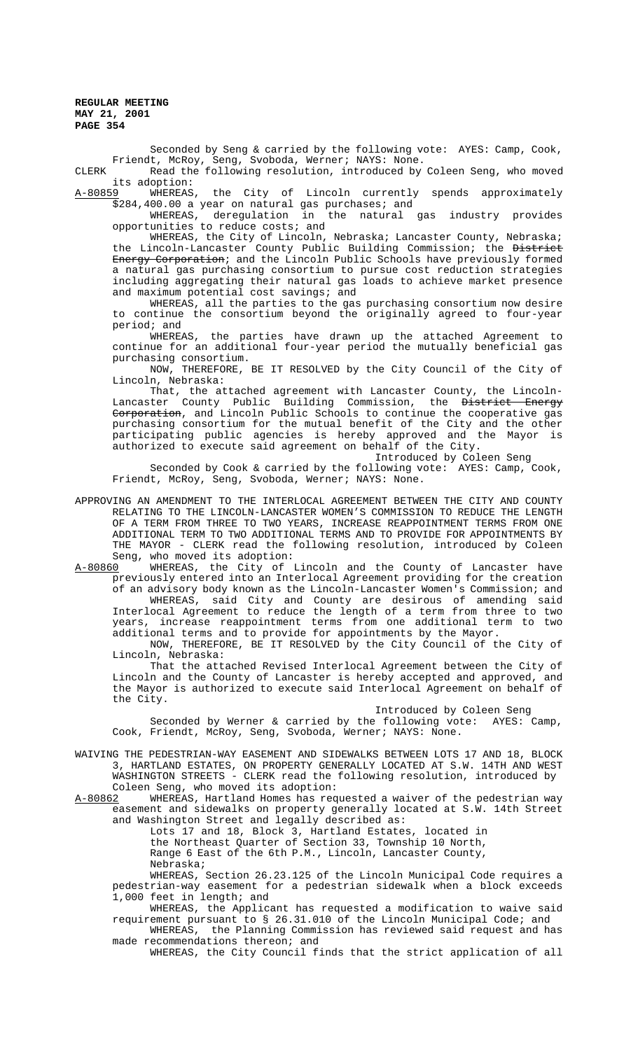Seconded by Seng & carried by the following vote: AYES: Camp, Cook, Friendt, McRoy, Seng, Svoboda, Werner; NAYS: None.

CLERK Read the following resolution, introduced by Coleen Seng, who moved its adoption:<br><u>A-80859</u> WHEREAS

WHEREAS, the City of Lincoln currently spends approximately \$284,400.00 a year on natural gas purchases; and<br>WHEREAS, deregulation in the natural gas industry provides

WHEREAS, deregulation in the natural opportunities to reduce costs; and

WHEREAS, the City of Lincoln, Nebraska; Lancaster County, Nebraska; the Lincoln-Lancaster County Public Building Commission; the District Energy Corporation; and the Lincoln Public Schools have previously formed a natural gas purchasing consortium to pursue cost reduction strategies including aggregating their natural gas loads to achieve market presence and maximum potential cost savings; and

WHEREAS, all the parties to the gas purchasing consortium now desire to continue the consortium beyond the originally agreed to four-year period; and

WHEREAS, the parties have drawn up the attached Agreement to continue for an additional four-year period the mutually beneficial gas purchasing consortium.

NOW, THEREFORE, BE IT RESOLVED by the City Council of the City of Lincoln, Nebraska:

That, the attached agreement with Lancaster County, the Lincoln-<br>ster County Public Building Commission, the <del>District Energy</del> Lancaster County Public Building Commission, the District Corporation, and Lincoln Public Schools to continue the cooperative gas purchasing consortium for the mutual benefit of the City and the other participating public agencies is hereby approved and the Mayor is authorized to execute said agreement on behalf of the City.

Introduced by Coleen Seng

Seconded by Cook & carried by the following vote: AYES: Camp, Cook, Friendt, McRoy, Seng, Svoboda, Werner; NAYS: None.

APPROVING AN AMENDMENT TO THE INTERLOCAL AGREEMENT BETWEEN THE CITY AND COUNTY RELATING TO THE LINCOLN-LANCASTER WOMEN'S COMMISSION TO REDUCE THE LENGTH OF A TERM FROM THREE TO TWO YEARS, INCREASE REAPPOINTMENT TERMS FROM ONE ADDITIONAL TERM TO TWO ADDITIONAL TERMS AND TO PROVIDE FOR APPOINTMENTS BY THE MAYOR - CLERK read the following resolution, introduced by Coleen

Seng, who moved its adoption:<br>A-80860 WHEREAS, the City of WHEREAS, the City of Lincoln and the County of Lancaster have previously entered into an Interlocal Agreement providing for the creation of an advisory body known as the Lincoln-Lancaster Women's Commission; and

WHEREAS, said City and County are desirous of amending said Interlocal Agreement to reduce the length of a term from three to two years, increase reappointment terms from one additional term to two additional terms and to provide for appointments by the Mayor.

NOW, THEREFORE, BE IT RESOLVED by the City Council of the City of Lincoln, Nebraska:

That the attached Revised Interlocal Agreement between the City of Lincoln and the County of Lancaster is hereby accepted and approved, and the Mayor is authorized to execute said Interlocal Agreement on behalf of the City.

# Introduced by Coleen Seng

Seconded by Werner & carried by the following vote: AYES: Camp, Cook, Friendt, McRoy, Seng, Svoboda, Werner; NAYS: None.

WAIVING THE PEDESTRIAN-WAY EASEMENT AND SIDEWALKS BETWEEN LOTS 17 AND 18, BLOCK 3, HARTLAND ESTATES, ON PROPERTY GENERALLY LOCATED AT S.W. 14TH AND WEST WASHINGTON STREETS - CLERK read the following resolution, introduced by

Coleen Seng, who moved its adoption:<br>A-80862 WHEREAS, Hartland Homes has req WHEREAS, Hartland Homes has requested a waiver of the pedestrian way easement and sidewalks on property generally located at S.W. 14th Street and Washington Street and legally described as:

Lots 17 and 18, Block 3, Hartland Estates, located in the Northeast Quarter of Section 33, Township 10 North, Range 6 East of the 6th P.M., Lincoln, Lancaster County, Nebraska;

WHEREAS, Section 26.23.125 of the Lincoln Municipal Code requires a pedestrian-way easement for a pedestrian sidewalk when a block exceeds 1,000 feet in length; and

WHEREAS, the Applicant has requested a modification to waive said requirement pursuant to § 26.31.010 of the Lincoln Municipal Code; and WHEREAS, the Planning Commission has reviewed said request and has

made recommendations thereon; and WHEREAS, the City Council finds that the strict application of all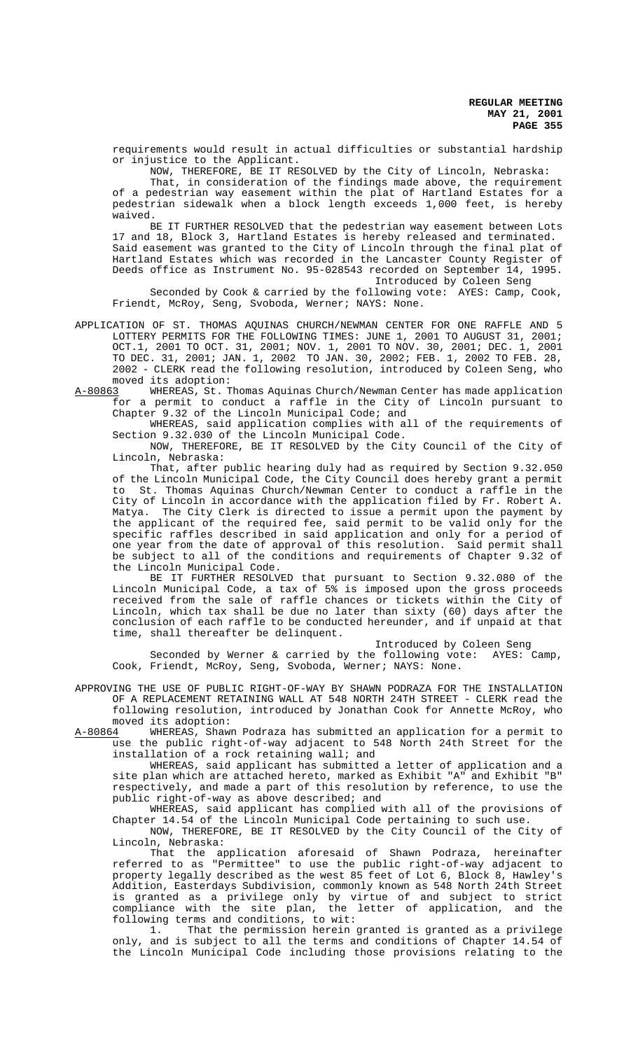requirements would result in actual difficulties or substantial hardship or injustice to the Applicant.

NOW, THEREFORE, BE IT RESOLVED by the City of Lincoln, Nebraska: That, in consideration of the findings made above, the requirement of a pedestrian way easement within the plat of Hartland Estates for a pedestrian sidewalk when a block length exceeds 1,000 feet, is hereby waived.

BE IT FURTHER RESOLVED that the pedestrian way easement between Lots 17 and 18, Block 3, Hartland Estates is hereby released and terminated. Said easement was granted to the City of Lincoln through the final plat of Hartland Estates which was recorded in the Lancaster County Register of Deeds office as Instrument No. 95-028543 recorded on September 14, 1995. Introduced by Coleen Seng

Seconded by Cook & carried by the following vote: AYES: Camp, Cook, Friendt, McRoy, Seng, Svoboda, Werner; NAYS: None.

APPLICATION OF ST. THOMAS AQUINAS CHURCH/NEWMAN CENTER FOR ONE RAFFLE AND 5 LOTTERY PERMITS FOR THE FOLLOWING TIMES: JUNE 1, 2001 TO AUGUST 31, 2001; OCT.1, 2001 TO OCT. 31, 2001; NOV. 1, 2001 TO NOV. 30, 2001; DEC. 1, 2001 TO DEC. 31, 2001; JAN. 1, 2002 TO JAN. 30, 2002; FEB. 1, 2002 TO FEB. 28, 2002 - CLERK read the following resolution, introduced by Coleen Seng, who moved its adoption:<br>A-80863 WHEREAS, St. T

WHEREAS, St. Thomas Aquinas Church/Newman Center has made application for a permit to conduct a raffle in the City of Lincoln pursuant to Chapter 9.32 of the Lincoln Municipal Code; and

WHEREAS, said application complies with all of the requirements of Section 9.32.030 of the Lincoln Municipal Code.

NOW, THEREFORE, BE IT RESOLVED by the City Council of the City of Lincoln, Nebraska:

That, after public hearing duly had as required by Section 9.32.050 of the Lincoln Municipal Code, the City Council does hereby grant a permit to St. Thomas Aquinas Church/Newman Center to conduct a raffle in the City of Lincoln in accordance with the application filed by Fr. Robert A. Matya. The City Clerk is directed to issue a permit upon the payment by the applicant of the required fee, said permit to be valid only for the specific raffles described in said application and only for a period of one year from the date of approval of this resolution. Said permit shall be subject to all of the conditions and requirements of Chapter 9.32 of the Lincoln Municipal Code.

BE IT FURTHER RESOLVED that pursuant to Section 9.32.080 of the Lincoln Municipal Code, a tax of 5% is imposed upon the gross proceeds received from the sale of raffle chances or tickets within the City of Lincoln, which tax shall be due no later than sixty (60) days after the conclusion of each raffle to be conducted hereunder, and if unpaid at that time, shall thereafter be delinquent.

Introduced by Coleen Seng

Seconded by Werner & carried by the following vote: AYES: Camp, Cook, Friendt, McRoy, Seng, Svoboda, Werner; NAYS: None.

APPROVING THE USE OF PUBLIC RIGHT-OF-WAY BY SHAWN PODRAZA FOR THE INSTALLATION OF A REPLACEMENT RETAINING WALL AT 548 NORTH 24TH STREET - CLERK read the following resolution, introduced by Jonathan Cook for Annette McRoy, who moved its adoption:

A-80864 WHEREAS, Shawn Podraza has submitted an application for a permit to use the public right-of-way adjacent to 548 North 24th Street for the installation of a rock retaining wall; and

WHEREAS, said applicant has submitted a letter of application and a site plan which are attached hereto, marked as Exhibit "A" and Exhibit "B" respectively, and made a part of this resolution by reference, to use the public right-of-way as above described; and

WHEREAS, said applicant has complied with all of the provisions of Chapter 14.54 of the Lincoln Municipal Code pertaining to such use.

NOW, THEREFORE, BE IT RESOLVED by the City Council of the City of Lincoln, Nebraska:

That the application aforesaid of Shawn Podraza, hereinafter referred to as "Permittee" to use the public right-of-way adjacent to property legally described as the west 85 feet of Lot 6, Block 8, Hawley's Addition, Easterdays Subdivision, commonly known as 548 North 24th Street is granted as a privilege only by virtue of and subject to strict compliance with the site plan, the letter of application, and the following terms and conditions, to wit:

1. That the permission herein granted is granted as a privilege only, and is subject to all the terms and conditions of Chapter 14.54 of the Lincoln Municipal Code including those provisions relating to the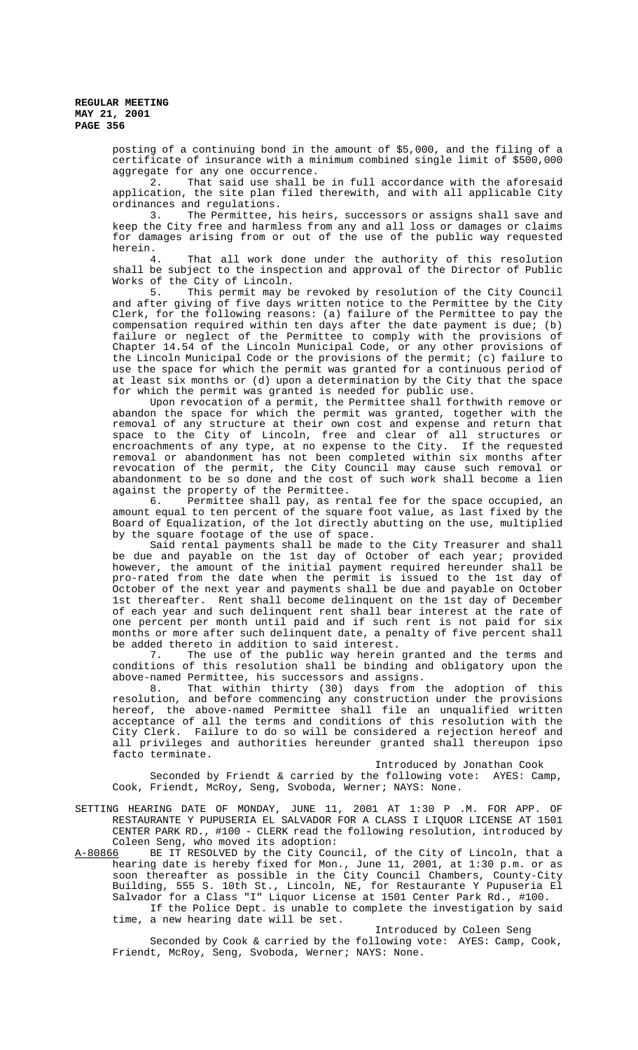> posting of a continuing bond in the amount of \$5,000, and the filing of a certificate of insurance with a minimum combined single limit of \$500,000 aggregate for any one occurrence.

> 2. That said use shall be in full accordance with the aforesaid application, the site plan filed therewith, and with all applicable City ordinances and regulations.

> 3. The Permittee, his heirs, successors or assigns shall save and keep the City free and harmless from any and all loss or damages or claims for damages arising from or out of the use of the public way requested herein.<br>4.

> That all work done under the authority of this resolution shall be subject to the inspection and approval of the Director of Public Works of the City of Lincoln.

> 5. This permit may be revoked by resolution of the City Council and after giving of five days written notice to the Permittee by the City Clerk, for the following reasons: (a) failure of the Permittee to pay the compensation required within ten days after the date payment is due; (b) failure or neglect of the Permittee to comply with the provisions of Chapter 14.54 of the Lincoln Municipal Code, or any other provisions of the Lincoln Municipal Code or the provisions of the permit; (c) failure to use the space for which the permit was granted for a continuous period of at least six months or (d) upon a determination by the City that the space for which the permit was granted is needed for public use.

> Upon revocation of a permit, the Permittee shall forthwith remove or abandon the space for which the permit was granted, together with the removal of any structure at their own cost and expense and return that space to the City of Lincoln, free and clear of all structures or encroachments of any type, at no expense to the City. If the requested removal or abandonment has not been completed within six months after revocation of the permit, the City Council may cause such removal or abandonment to be so done and the cost of such work shall become a lien against the property of the Permittee.

> 6. Permittee shall pay, as rental fee for the space occupied, an amount equal to ten percent of the square foot value, as last fixed by the Board of Equalization, of the lot directly abutting on the use, multiplied by the square footage of the use of space.

> Said rental payments shall be made to the City Treasurer and shall be due and payable on the 1st day of October of each year; provided however, the amount of the initial payment required hereunder shall be pro-rated from the date when the permit is issued to the 1st day of October of the next year and payments shall be due and payable on October 1st thereafter. Rent shall become delinquent on the 1st day of December of each year and such delinquent rent shall bear interest at the rate of one percent per month until paid and if such rent is not paid for six months or more after such delinquent date, a penalty of five percent shall be added thereto in addition to said interest.

> 7. The use of the public way herein granted and the terms and conditions of this resolution shall be binding and obligatory upon the above-named Permittee, his successors and assigns.

> 8. That within thirty (30) days from the adoption of this resolution, and before commencing any construction under the provisions hereof, the above-named Permittee shall file an unqualified written acceptance of all the terms and conditions of this resolution with the City Clerk. Failure to do so will be considered a rejection hereof and all privileges and authorities hereunder granted shall thereupon ipso facto terminate.

Introduced by Jonathan Cook

Seconded by Friendt & carried by the following vote: AYES: Camp, Cook, Friendt, McRoy, Seng, Svoboda, Werner; NAYS: None.

SETTING HEARING DATE OF MONDAY, JUNE 11, 2001 AT 1:30 P .M. FOR APP. OF RESTAURANTE Y PUPUSERIA EL SALVADOR FOR A CLASS I LIQUOR LICENSE AT 1501 CENTER PARK RD., #100 - CLERK read the following resolution, introduced by Coleen Seng, who moved its adoption:<br>A-80866 BE IT RESOLVED by the City Cou

BE IT RESOLVED by the City Council, of the City of Lincoln, that a hearing date is hereby fixed for Mon., June 11, 2001, at 1:30 p.m. or as soon thereafter as possible in the City Council Chambers, County-City Building, 555 S. 10th St., Lincoln, NE, for Restaurante Y Pupuseria El Salvador for a Class "I" Liquor License at 1501 Center Park Rd., #100.

If the Police Dept. is unable to complete the investigation by said time, a new hearing date will be set.

# Introduced by Coleen Seng

Seconded by Cook & carried by the following vote: AYES: Camp, Cook, Friendt, McRoy, Seng, Svoboda, Werner; NAYS: None.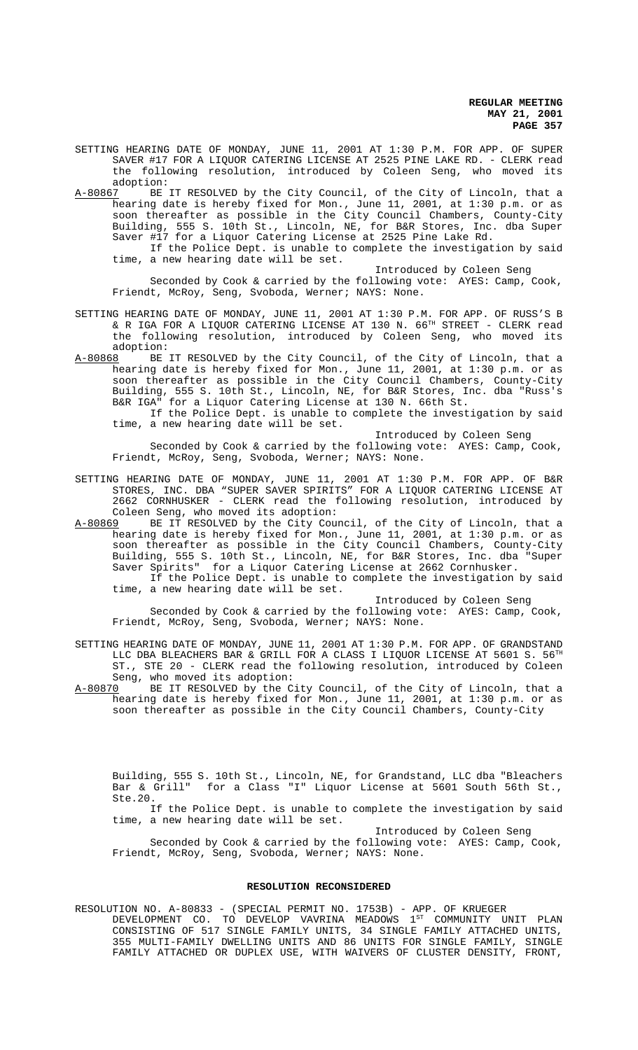SETTING HEARING DATE OF MONDAY, JUNE 11, 2001 AT 1:30 P.M. FOR APP. OF SUPER SAVER #17 FOR A LIQUOR CATERING LICENSE AT 2525 PINE LAKE RD. - CLERK read the following resolution, introduced by Coleen Seng, who moved its

adoption:<br><u>A-80867</u> BE BE IT RESOLVED by the City Council, of the City of Lincoln, that a hearing date is hereby fixed for Mon., June 11, 2001, at 1:30 p.m. or as soon thereafter as possible in the City Council Chambers, County-City Building, 555 S. 10th St., Lincoln, NE, for B&R Stores, Inc. dba Super Saver #17 for a Liquor Catering License at 2525 Pine Lake Rd. If the Police Dept. is unable to complete the investigation by said

time, a new hearing date will be set.

Introduced by Coleen Seng

Seconded by Cook & carried by the following vote: AYES: Camp, Cook, Friendt, McRoy, Seng, Svoboda, Werner; NAYS: None.

SETTING HEARING DATE OF MONDAY, JUNE 11, 2001 AT 1:30 P.M. FOR APP. OF RUSS'S B & R IGA FOR A LIQUOR CATERING LICENSE AT 130 N. 66TH STREET - CLERK read the following resolution, introduced by Coleen Seng, who moved its adoption:

A-80868 BE IT RESOLVED by the City Council, of the City of Lincoln, that a hearing date is hereby fixed for Mon., June 11, 2001, at 1:30 p.m. or as soon thereafter as possible in the City Council Chambers, County-City Building, 555 S. 10th St., Lincoln, NE, for B&R Stores, Inc. dba "Russ's B&R IGA" for a Liquor Catering License at 130 N. 66th St.

If the Police Dept. is unable to complete the investigation by said time, a new hearing date will be set.

Introduced by Coleen Seng

Seconded by Cook & carried by the following vote: AYES: Camp, Cook, Friendt, McRoy, Seng, Svoboda, Werner; NAYS: None.

SETTING HEARING DATE OF MONDAY, JUNE 11, 2001 AT 1:30 P.M. FOR APP. OF B&R STORES, INC. DBA "SUPER SAVER SPIRITS" FOR A LIQUOR CATERING LICENSE AT 2662 CORNHUSKER - CLERK read the following resolution, introduced by Coleen Seng, who moved its adoption:

A-80869 BE IT RESOLVED by the City Council, of the City of Lincoln, that a hearing date is hereby fixed for Mon., June 11, 2001, at 1:30 p.m. or as soon thereafter as possible in the City Council Chambers, County-City Building, 555 S. 10th St., Lincoln, NE, for B&R Stores, Inc. dba "Super Saver Spirits" for a Liquor Catering License at 2662 Cornhusker.

If the Police Dept. is unable to complete the investigation by said time, a new hearing date will be set.

Introduced by Coleen Seng

Seconded by Cook & carried by the following vote: AYES: Camp, Cook, Friendt, McRoy, Seng, Svoboda, Werner; NAYS: None.

SETTING HEARING DATE OF MONDAY, JUNE 11, 2001 AT 1:30 P.M. FOR APP. OF GRANDSTAND LLC DBA BLEACHERS BAR & GRILL FOR A CLASS I LIQUOR LICENSE AT  $5601\,$  S.  $56^{\text{TH}}$ ST., STE 20 - CLERK read the following resolution, introduced by Coleen

Seng, who moved its adoption:<br>A-80870 BE IT RESOLVED by the C A-80870 BE IT RESOLVED by the City Council, of the City of Lincoln, that a hearing date is hereby fixed for Mon., June 11, 2001, at 1:30 p.m. or as soon thereafter as possible in the City Council Chambers, County-City

Building, 555 S. 10th St., Lincoln, NE, for Grandstand, LLC dba "Bleachers Bar & Grill" for a Class "I" Liquor License at 5601 South 56th St., Ste.20.

If the Police Dept. is unable to complete the investigation by said time, a new hearing date will be set.

Introduced by Coleen Seng

Seconded by Cook & carried by the following vote: AYES: Camp, Cook, Friendt, McRoy, Seng, Svoboda, Werner; NAYS: None.

# **RESOLUTION RECONSIDERED**

RESOLUTION NO. A-80833 - (SPECIAL PERMIT NO. 1753B) - APP. OF KRUEGER DEVELOPMENT CO. TO DEVELOP VAVRINA MEADOWS  $1^{ST}$  COMMUNITY UNIT PLAN CONSISTING OF 517 SINGLE FAMILY UNITS, 34 SINGLE FAMILY ATTACHED UNITS, 355 MULTI-FAMILY DWELLING UNITS AND 86 UNITS FOR SINGLE FAMILY, SINGLE FAMILY ATTACHED OR DUPLEX USE, WITH WAIVERS OF CLUSTER DENSITY, FRONT,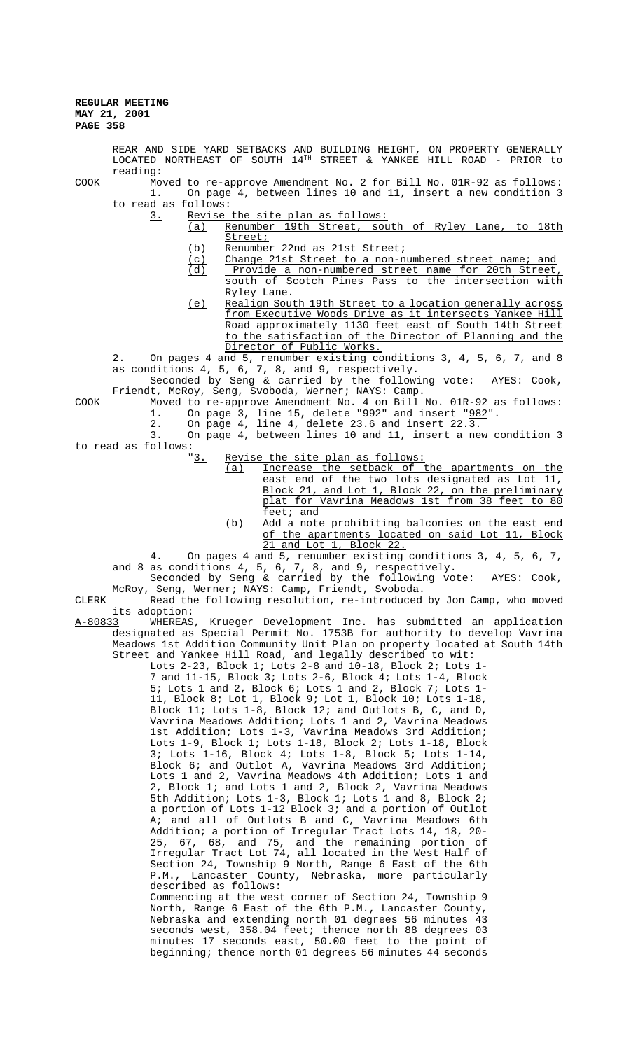LOCATED NORTHEAST OF SOUTH 14TH STREET & YANKEE HILL ROAD - PRIOR to reading: COOK Moved to re-approve Amendment No. 2 for Bill No. 01R-92 as follows: 1. On page 4, between lines 10 and 11, insert a new condition 3 to read as follows: 3. Revise the site plan as follows: (a) Renumber 19th Street, south of Ryley Lane, to 18th Street; (b) Renumber 22nd as 21st Street; (c) Change 21st Street to a non-numbered street name; and (d) Provide a non-numbered street name for 20th Street Provide a non-numbered street name for 20th Street south of Scotch Pines Pass to the intersection with Ryley Lane. (e) Realign South 19th Street to a location generally across from Executive Woods Drive as it intersects Yankee Hill Road approximately 1130 feet east of South 14th Street to the satisfaction of the Director of Planning and the Director of Public Works. 2. On pages 4 and 5, renumber existing conditions 3, 4, 5, 6, 7, and 8 as conditions 4, 5, 6, 7, 8, and 9, respectively. Seconded by Seng & carried by the following vote: AYES: Cook, Friendt, McRoy, Seng, Svoboda, Werner; NAYS: Camp. COOK Moved to re-approve Amendment No. 4 on Bill No. 01R-92 as follows: 1. On page 3, line 15, delete "992" and insert "982". 2. On page 4, line 4, delete 23.6 and insert 22.3. 3. On page 4, between lines 10 and 11, insert a new condition 3 to read as follows:<br> $\underline{3.}$ Revise the site plan as follows: (a) Increase the setback of the apartments on the east end of the two lots designated as Lot 11, Block 21, and Lot 1, Block 22, on the preliminary plat for Vavrina Meadows 1st from 38 feet to 80 feet; and (b) Add a note prohibiting balconies on the east end of the apartments located on said Lot 11, Block 21 and Lot 1, Block 22. 4. On pages 4 and 5, renumber existing conditions 3, 4, 5, 6, 7, and 8 as conditions 4, 5, 6, 7, 8, and 9, respectively. Seconded by Seng & carried by the following vote: AYES: Cook, McRoy, Seng, Werner; NAYS: Camp, Friendt, Svoboda. CLERK Read the following resolution, re-introduced by Jon Camp, who moved its adoption: A-80833 WHEREAS, Krueger Development Inc. has submitted an application designated as Special Permit No. 1753B for authority to develop Vavrina Meadows 1st Addition Community Unit Plan on property located at South 14th Street and Yankee Hill Road, and legally described to wit: Lots 2-23, Block 1; Lots 2-8 and 10-18, Block 2; Lots 1-7 and 11-15, Block 3; Lots 2-6, Block 4; Lots 1-4, Block 5; Lots 1 and 2, Block 6; Lots 1 and 2, Block 7; Lots 1- 11, Block 8; Lot 1, Block 9; Lot 1, Block 10; Lots 1-18, Block 11; Lots 1-8, Block 12; and Outlots B, C, and D, Vavrina Meadows Addition; Lots 1 and 2, Vavrina Meadows 1st Addition; Lots 1-3, Vavrina Meadows 3rd Addition; Lots 1-9, Block 1; Lots 1-18, Block 2; Lots 1-18, Block 3; Lots 1-16, Block 4; Lots 1-8, Block 5; Lots 1-14, Block 6; and Outlot A, Vavrina Meadows 3rd Addition; Lots 1 and 2, Vavrina Meadows 4th Addition; Lots 1 and 2, Block 1; and Lots 1 and 2, Block 2, Vavrina Meadows 5th Addition; Lots 1-3, Block 1; Lots 1 and 8, Block 2; a portion of Lots 1-12 Block 3; and a portion of Outlot A; and all of Outlots B and C, Vavrina Meadows 6th Addition; a portion of Irregular Tract Lots 14, 18, 20- 25, 67, 68, and 75, and the remaining portion of Irregular Tract Lot 74, all located in the West Half of Section 24, Township 9 North, Range 6 East of the 6th P.M., Lancaster County, Nebraska, more particularly described as follows: Commencing at the west corner of Section 24, Township 9 North, Range 6 East of the 6th P.M., Lancaster County, Nebraska and extending north 01 degrees 56 minutes 43 seconds west, 358.04 feet; thence north 88 degrees 03 minutes 17 seconds east, 50.00 feet to the point of beginning; thence north 01 degrees 56 minutes 44 seconds

REAR AND SIDE YARD SETBACKS AND BUILDING HEIGHT, ON PROPERTY GENERALLY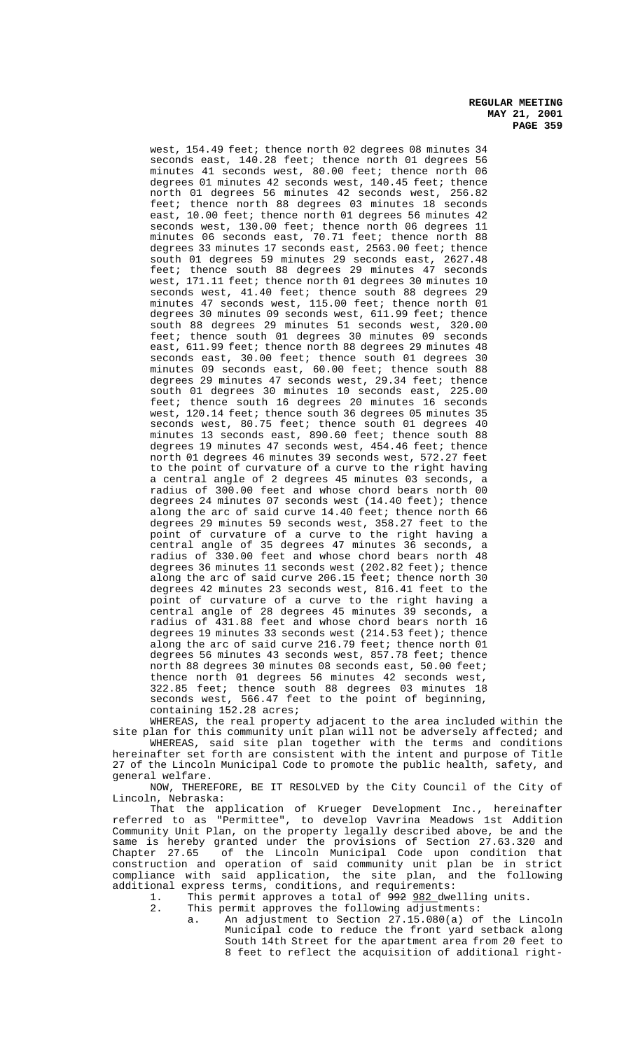west, 154.49 feet; thence north 02 degrees 08 minutes 34 seconds east, 140.28 feet; thence north 01 degrees 56 minutes 41 seconds west, 80.00 feet; thence north 06 degrees 01 minutes 42 seconds west, 140.45 feet; thence north 01 degrees 56 minutes 42 seconds west, 256.82 feet; thence north 88 degrees 03 minutes 18 seconds east, 10.00 feet; thence north 01 degrees 56 minutes 42 seconds west, 130.00 feet; thence north 06 degrees 11 minutes 06 seconds east, 70.71 feet; thence north 88 degrees 33 minutes 17 seconds east, 2563.00 feet; thence south 01 degrees 59 minutes 29 seconds east, 2627.48 feet; thence south 88 degrees 29 minutes 47 seconds west, 171.11 feet; thence north 01 degrees 30 minutes 10 seconds west, 41.40 feet; thence south 88 degrees 29 minutes 47 seconds west, 115.00 feet; thence north 01 degrees 30 minutes 09 seconds west, 611.99 feet; thence south 88 degrees 29 minutes 51 seconds west, 320.00 feet; thence south 01 degrees 30 minutes 09 seconds east, 611.99 feet; thence north 88 degrees 29 minutes 48 seconds east, 30.00 feet; thence south 01 degrees 30 minutes 09 seconds east, 60.00 feet; thence south 88 degrees 29 minutes 47 seconds west, 29.34 feet; thence south 01 degrees 30 minutes 10 seconds east, 225.00 feet; thence south 16 degrees 20 minutes 16 seconds west, 120.14 feet; thence south 36 degrees 05 minutes 35 seconds west, 80.75 feet; thence south 01 degrees 40 minutes 13 seconds east, 890.60 feet; thence south 88 degrees 19 minutes 47 seconds west, 454.46 feet; thence north 01 degrees 46 minutes 39 seconds west, 572.27 feet to the point of curvature of a curve to the right having a central angle of 2 degrees 45 minutes 03 seconds, a radius of 300.00 feet and whose chord bears north 00 degrees 24 minutes 07 seconds west (14.40 feet); thence along the arc of said curve 14.40 feet; thence north 66 degrees 29 minutes 59 seconds west, 358.27 feet to the point of curvature of a curve to the right having a central angle of 35 degrees 47 minutes 36 seconds, a radius of 330.00 feet and whose chord bears north 48 degrees 36 minutes 11 seconds west (202.82 feet); thence along the arc of said curve 206.15 feet; thence north 30 degrees 42 minutes 23 seconds west, 816.41 feet to the point of curvature of a curve to the right having a central angle of 28 degrees 45 minutes 39 seconds, a radius of 431.88 feet and whose chord bears north 16 degrees 19 minutes 33 seconds west (214.53 feet); thence along the arc of said curve 216.79 feet; thence north 01 degrees 56 minutes 43 seconds west, 857.78 feet; thence north 88 degrees 30 minutes 08 seconds east, 50.00 feet; thence north 01 degrees 56 minutes 42 seconds west, 322.85 feet; thence south 88 degrees 03 minutes 18 seconds west, 566.47 feet to the point of beginning, containing 152.28 acres;

WHEREAS, the real property adjacent to the area included within the site plan for this community unit plan will not be adversely affected; and WHEREAS, said site plan together with the terms and conditions hereinafter set forth are consistent with the intent and purpose of Title 27 of the Lincoln Municipal Code to promote the public health, safety, and

general welfare. NOW, THEREFORE, BE IT RESOLVED by the City Council of the City of Lincoln, Nebraska:

That the application of Krueger Development Inc., hereinafter referred to as "Permittee", to develop Vavrina Meadows 1st Addition Community Unit Plan, on the property legally described above, be and the same is hereby granted under the provisions of Section 27.63.320 and<br>Chapter 27.65 of the Lincoln Municipal Code upon condition that Chapter 27.65 of the Lincoln Municipal Code upon condition that construction and operation of said community unit plan be in strict compliance with said application, the site plan, and the following additional express terms, conditions, and requirements:

1. This permit approves a total of  $\frac{992}{982}$  dwelling units.<br>2 This permit approves the following adjustments:

This permit approves the following adjustments:

a. An adjustment to Section 27.15.080(a) of the Lincoln Municipal code to reduce the front yard setback along South 14th Street for the apartment area from 20 feet to 8 feet to reflect the acquisition of additional right-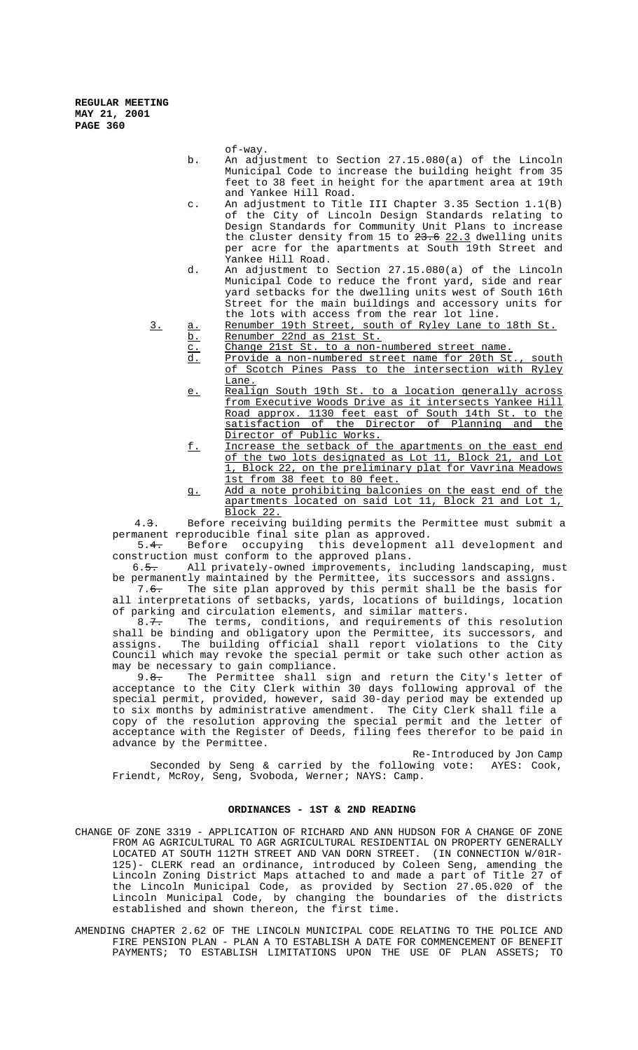of-way.

- b. An adjustment to Section 27.15.080(a) of the Lincoln Municipal Code to increase the building height from 35 feet to 38 feet in height for the apartment area at 19th and Yankee Hill Road.
- c. An adjustment to Title III Chapter 3.35 Section 1.1(B) of the City of Lincoln Design Standards relating to Design Standards for Community Unit Plans to increase the cluster density from 15 to  $23.6$   $22.3$  dwelling units per acre for the apartments at South 19th Street and Yankee Hill Road.
- d. An adjustment to Section 27.15.080(a) of the Lincoln Municipal Code to reduce the front yard, side and rear yard setbacks for the dwelling units west of South 16th Street for the main buildings and accessory units for the lots with access from the rear lot line.

3. a. Renumber 19th Street, south of Ryley Lane to 18th St. b. Renumber 22nd as 21st St.

- c. Change 21st St. to a non-numbered street name.
- d. Provide a non-numbered street name for 20th St., south of Scotch Pines Pass to the intersection with Ryley
- Lane.<br>Realign South 19th St. e. Realign South 19th St. to a location generally across from Executive Woods Drive as it intersects Yankee Hill Road approx. 1130 feet east of South 14th St. to the satisfaction of the Director of Planning and the Director of Public Works.
- f. Increase the setback of the apartments on the east end of the two lots designated as Lot 11, Block 21, and Lot 1, Block 22, on the preliminary plat for Vavrina Meadows 1st from 38 feet to 80 feet.
- g. Add a note prohibiting balconies on the east end of the apartments located on said Lot 11, Block 21 and Lot 1, Block 22.

 4.3. Before receiving building permits the Permittee must submit a permanent reproducible final site plan as approved.

 5.4. Before occupying this development all development and construction must conform to the approved plans.<br>6.5. All privately-owned improvements, inc

All privately-owned improvements, including landscaping, must be permanently maintained by the Permittee, its successors and assigns.<br>7.6. The site plan approved by this permit shall be the basis for

The site plan approved by this permit shall be the basis for all interpretations of setbacks, yards, locations of buildings, location of parking and circulation elements, and similar matters.

8.7. The terms, conditions, and requirements of this resolution shall be binding and obligatory upon the Permittee, its successors, and assigns. The building official shall report violations to the City Council which may revoke the special permit or take such other action as may be necessary to gain compliance.

9.<del>8.</del> The Permittee shall sign and return the City's letter of acceptance to the City Clerk within 30 days following approval of the special permit, provided, however, said 30-day period may be extended up to six months by administrative amendment. The City Clerk shall file a copy of the resolution approving the special permit and the letter of acceptance with the Register of Deeds, filing fees therefor to be paid in advance by the Permittee.

Re-Introduced by Jon Camp Seconded by Seng & carried by the following vote: AYES: Cook, Friendt, McRoy, Seng, Svoboda, Werner; NAYS: Camp.

# **ORDINANCES - 1ST & 2ND READING**

- CHANGE OF ZONE 3319 APPLICATION OF RICHARD AND ANN HUDSON FOR A CHANGE OF ZONE FROM AG AGRICULTURAL TO AGR AGRICULTURAL RESIDENTIAL ON PROPERTY GENERALLY LOCATED AT SOUTH 112TH STREET AND VAN DORN STREET. (IN CONNECTION W/01R-125)- CLERK read an ordinance, introduced by Coleen Seng, amending the Lincoln Zoning District Maps attached to and made a part of Title 27 of the Lincoln Municipal Code, as provided by Section 27.05.020 of the Lincoln Municipal Code, by changing the boundaries of the districts established and shown thereon, the first time.
- AMENDING CHAPTER 2.62 OF THE LINCOLN MUNICIPAL CODE RELATING TO THE POLICE AND FIRE PENSION PLAN - PLAN A TO ESTABLISH A DATE FOR COMMENCEMENT OF BENEFIT PAYMENTS; TO ESTABLISH LIMITATIONS UPON THE USE OF PLAN ASSETS; TO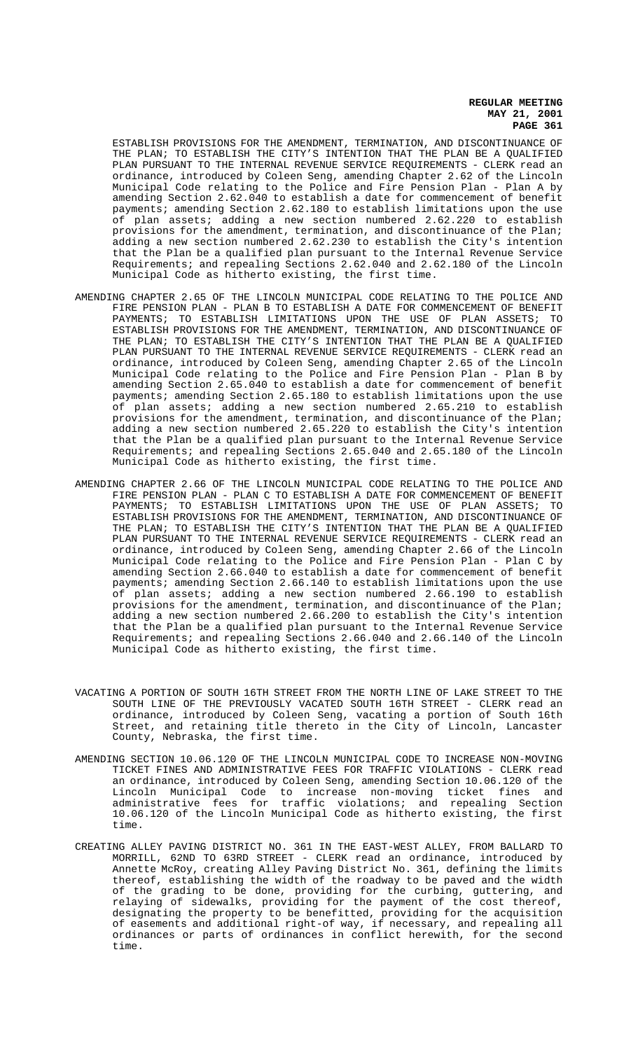ESTABLISH PROVISIONS FOR THE AMENDMENT, TERMINATION, AND DISCONTINUANCE OF THE PLAN; TO ESTABLISH THE CITY'S INTENTION THAT THE PLAN BE A QUALIFIED PLAN PURSUANT TO THE INTERNAL REVENUE SERVICE REQUIREMENTS - CLERK read an ordinance, introduced by Coleen Seng, amending Chapter 2.62 of the Lincoln Municipal Code relating to the Police and Fire Pension Plan - Plan A by amending Section 2.62.040 to establish a date for commencement of benefit payments; amending Section 2.62.180 to establish limitations upon the use of plan assets; adding a new section numbered 2.62.220 to establish provisions for the amendment, termination, and discontinuance of the Plan; adding a new section numbered 2.62.230 to establish the City's intention that the Plan be a qualified plan pursuant to the Internal Revenue Service Requirements; and repealing Sections 2.62.040 and 2.62.180 of the Lincoln Municipal Code as hitherto existing, the first time.

- AMENDING CHAPTER 2.65 OF THE LINCOLN MUNICIPAL CODE RELATING TO THE POLICE AND FIRE PENSION PLAN - PLAN B TO ESTABLISH A DATE FOR COMMENCEMENT OF BENEFIT PAYMENTS; TO ESTABLISH LIMITATIONS UPON THE USE OF PLAN ASSETS; TO ESTABLISH PROVISIONS FOR THE AMENDMENT, TERMINATION, AND DISCONTINUANCE OF THE PLAN; TO ESTABLISH THE CITY'S INTENTION THAT THE PLAN BE A QUALIFIED PLAN PURSUANT TO THE INTERNAL REVENUE SERVICE REQUIREMENTS - CLERK read an ordinance, introduced by Coleen Seng, amending Chapter 2.65 of the Lincoln Municipal Code relating to the Police and Fire Pension Plan - Plan B by amending Section 2.65.040 to establish a date for commencement of benefit payments; amending Section 2.65.180 to establish limitations upon the use of plan assets; adding a new section numbered 2.65.210 to establish provisions for the amendment, termination, and discontinuance of the Plan; adding a new section numbered 2.65.220 to establish the City's intention that the Plan be a qualified plan pursuant to the Internal Revenue Service Requirements; and repealing Sections 2.65.040 and 2.65.180 of the Lincoln Municipal Code as hitherto existing, the first time.
- AMENDING CHAPTER 2.66 OF THE LINCOLN MUNICIPAL CODE RELATING TO THE POLICE AND FIRE PENSION PLAN - PLAN C TO ESTABLISH A DATE FOR COMMENCEMENT OF BENEFIT PAYMENTS; TO ESTABLISH LIMITATIONS UPON THE USE OF PLAN ASSETS; TO ESTABLISH PROVISIONS FOR THE AMENDMENT, TERMINATION, AND DISCONTINUANCE OF THE PLAN; TO ESTABLISH THE CITY'S INTENTION THAT THE PLAN BE A QUALIFIED PLAN PURSUANT TO THE INTERNAL REVENUE SERVICE REQUIREMENTS - CLERK read an ordinance, introduced by Coleen Seng, amending Chapter 2.66 of the Lincoln Municipal Code relating to the Police and Fire Pension Plan - Plan C by amending Section 2.66.040 to establish a date for commencement of benefit payments; amending Section 2.66.140 to establish limitations upon the use of plan assets; adding a new section numbered 2.66.190 to establish provisions for the amendment, termination, and discontinuance of the Plan; adding a new section numbered 2.66.200 to establish the City's intention that the Plan be a qualified plan pursuant to the Internal Revenue Service Requirements; and repealing Sections 2.66.040 and 2.66.140 of the Lincoln Municipal Code as hitherto existing, the first time.
- VACATING A PORTION OF SOUTH 16TH STREET FROM THE NORTH LINE OF LAKE STREET TO THE SOUTH LINE OF THE PREVIOUSLY VACATED SOUTH 16TH STREET - CLERK read an ordinance, introduced by Coleen Seng, vacating a portion of South 16th Street, and retaining title thereto in the City of Lincoln, Lancaster County, Nebraska, the first time.
- AMENDING SECTION 10.06.120 OF THE LINCOLN MUNICIPAL CODE TO INCREASE NON-MOVING TICKET FINES AND ADMINISTRATIVE FEES FOR TRAFFIC VIOLATIONS - CLERK read an ordinance, introduced by Coleen Seng, amending Section 10.06.120 of the Lincoln Municipal Code to increase non-moving ticket fines and administrative fees for traffic violations; and repealing Section 10.06.120 of the Lincoln Municipal Code as hitherto existing, the first time.
- CREATING ALLEY PAVING DISTRICT NO. 361 IN THE EAST-WEST ALLEY, FROM BALLARD TO MORRILL, 62ND TO 63RD STREET - CLERK read an ordinance, introduced by Annette McRoy, creating Alley Paving District No. 361, defining the limits thereof, establishing the width of the roadway to be paved and the width of the grading to be done, providing for the curbing, guttering, and relaying of sidewalks, providing for the payment of the cost thereof, designating the property to be benefitted, providing for the acquisition of easements and additional right-of way, if necessary, and repealing all ordinances or parts of ordinances in conflict herewith, for the second time.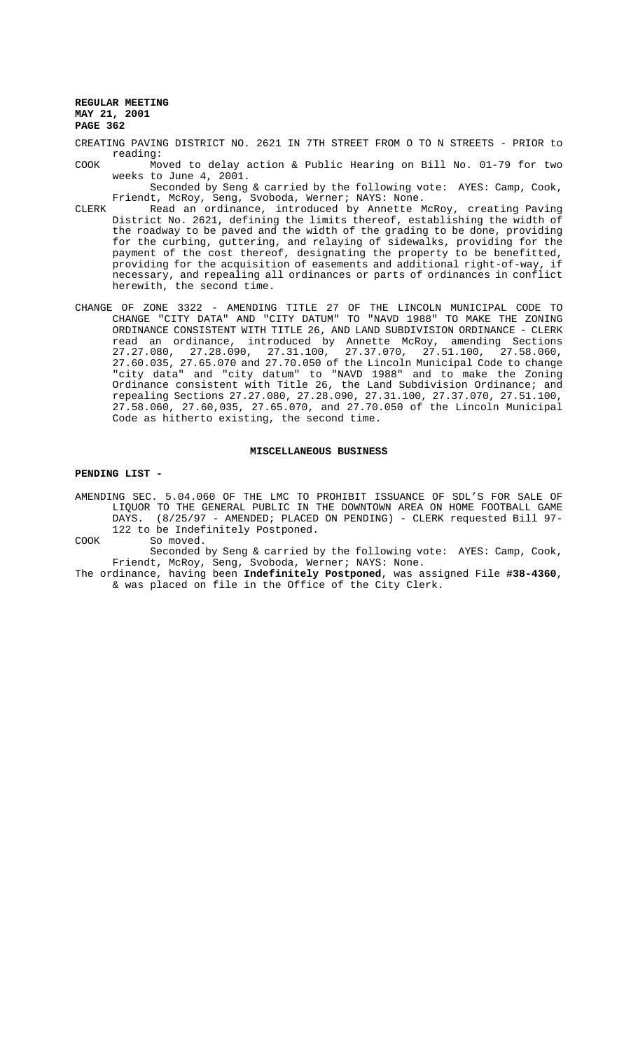- CREATING PAVING DISTRICT NO. 2621 IN 7TH STREET FROM O TO N STREETS PRIOR to reading:
- COOK Moved to delay action & Public Hearing on Bill No. 01-79 for two weeks to June 4, 2001.
- Seconded by Seng & carried by the following vote: AYES: Camp, Cook, Friendt, McRoy, Seng, Svoboda, Werner; NAYS: None.
- CLERK Read an ordinance, introduced by Annette McRoy, creating Paving District No. 2621, defining the limits thereof, establishing the width of the roadway to be paved and the width of the grading to be done, providing for the curbing, guttering, and relaying of sidewalks, providing for the payment of the cost thereof, designating the property to be benefitted, providing for the acquisition of easements and additional right-of-way, if necessary, and repealing all ordinances or parts of ordinances in conflict herewith, the second time.
- CHANGE OF ZONE 3322 AMENDING TITLE 27 OF THE LINCOLN MUNICIPAL CODE TO CHANGE "CITY DATA" AND "CITY DATUM" TO "NAVD 1988" TO MAKE THE ZONING ORDINANCE CONSISTENT WITH TITLE 26, AND LAND SUBDIVISION ORDINANCE - CLERK read an ordinance, introduced by Annette McRoy, amending Sections 27.27.080, 27.28.090, 27.31.100, 27.37.070, 27.51.100, 27.58.060, 27.60.035, 27.65.070 and 27.70.050 of the Lincoln Municipal Code to change "city data" and "city datum" to "NAVD 1988" and to make the Zoning Ordinance consistent with Title 26, the Land Subdivision Ordinance; and repealing Sections 27.27.080, 27.28.090, 27.31.100, 27.37.070, 27.51.100, 27.58.060, 27.60,035, 27.65.070, and 27.70.050 of the Lincoln Municipal Code as hitherto existing, the second time.

# **MISCELLANEOUS BUSINESS**

### **PENDING LIST -**

AMENDING SEC. 5.04.060 OF THE LMC TO PROHIBIT ISSUANCE OF SDL'S FOR SALE OF LIQUOR TO THE GENERAL PUBLIC IN THE DOWNTOWN AREA ON HOME FOOTBALL GAME DAYS. (8/25/97 - AMENDED; PLACED ON PENDING) - CLERK requested Bill 97- 122 to be Indefinitely Postponed.

COOK So moved.

Seconded by Seng & carried by the following vote: AYES: Camp, Cook, Friendt, McRoy, Seng, Svoboda, Werner; NAYS: None.

The ordinance, having been **Indefinitely Postponed**, was assigned File **#38-4360**, & was placed on file in the Office of the City Clerk.